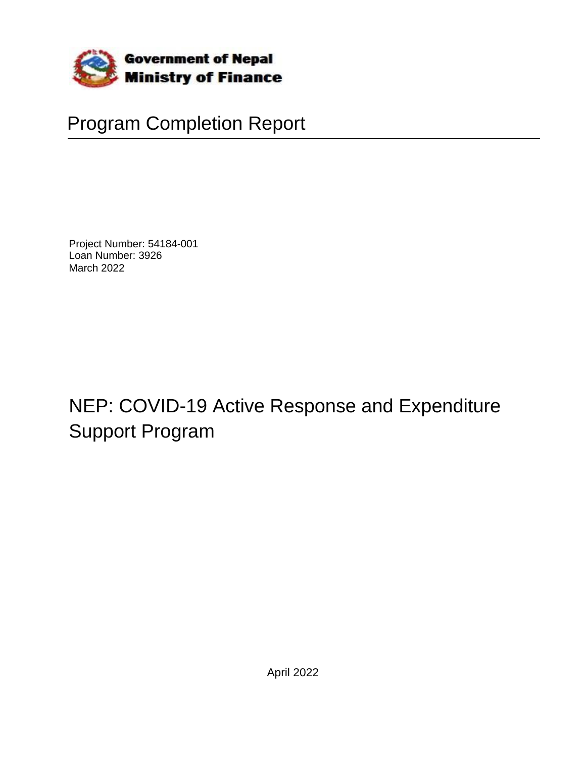

# Program Completion Report

Project Number: 54184-001 Loan Number: 3926 March 2022

NEP: COVID-19 Active Response and Expenditure Support Program

April 2022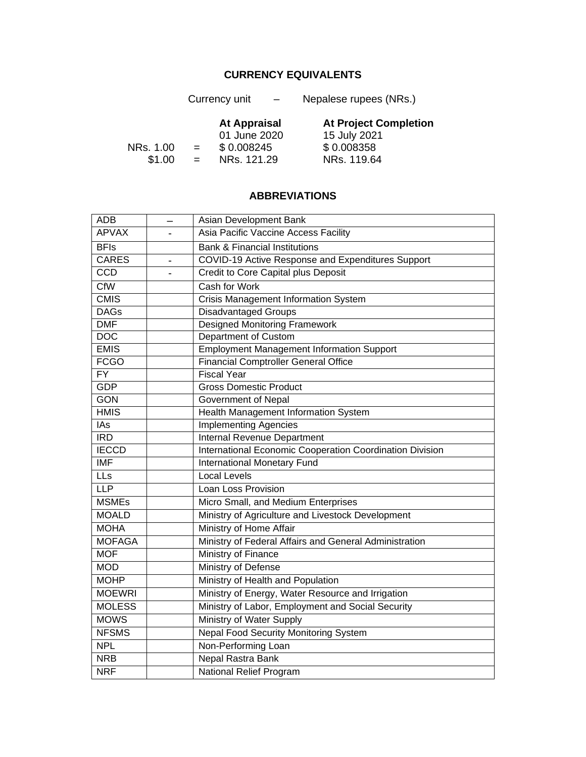## **CURRENCY EQUIVALENTS**

<span id="page-2-0"></span>

|           |     | Currency unit<br>$\overline{\phantom{0}}$ | Nepalese rupees (NRs.)       |
|-----------|-----|-------------------------------------------|------------------------------|
|           |     | <b>At Appraisal</b>                       | <b>At Project Completion</b> |
|           |     | 01 June 2020                              | 15 July 2021                 |
| NRs. 1.00 | $=$ | \$0.008245                                | \$0.008358                   |
| \$1.00    | $=$ | NRs. 121.29                               | NRs. 119.64                  |

## **ABBREVIATIONS**

| <b>ADB</b>      |                          | Asian Development Bank                                   |
|-----------------|--------------------------|----------------------------------------------------------|
| <b>APVAX</b>    |                          | Asia Pacific Vaccine Access Facility                     |
| <b>BFIs</b>     |                          | <b>Bank &amp; Financial Institutions</b>                 |
| <b>CARES</b>    | $\overline{\phantom{a}}$ | <b>COVID-19 Active Response and Expenditures Support</b> |
| CCD             |                          | Credit to Core Capital plus Deposit                      |
| CfW             |                          | Cash for Work                                            |
| <b>CMIS</b>     |                          | <b>Crisis Management Information System</b>              |
| <b>DAGs</b>     |                          | <b>Disadvantaged Groups</b>                              |
| <b>DMF</b>      |                          | <b>Designed Monitoring Framework</b>                     |
| <b>DOC</b>      |                          | Department of Custom                                     |
| <b>EMIS</b>     |                          | <b>Employment Management Information Support</b>         |
| <b>FCGO</b>     |                          | <b>Financial Comptroller General Office</b>              |
| $\overline{FY}$ |                          | <b>Fiscal Year</b>                                       |
| <b>GDP</b>      |                          | <b>Gross Domestic Product</b>                            |
| <b>GON</b>      |                          | Government of Nepal                                      |
| <b>HMIS</b>     |                          | Health Management Information System                     |
| IAs             |                          | <b>Implementing Agencies</b>                             |
| <b>IRD</b>      |                          | Internal Revenue Department                              |
| <b>IECCD</b>    |                          | International Economic Cooperation Coordination Division |
| <b>IMF</b>      |                          | <b>International Monetary Fund</b>                       |
| LLs             |                          | Local Levels                                             |
| <b>LLP</b>      |                          | Loan Loss Provision                                      |
| <b>MSMEs</b>    |                          | Micro Small, and Medium Enterprises                      |
| <b>MOALD</b>    |                          | Ministry of Agriculture and Livestock Development        |
| <b>MOHA</b>     |                          | Ministry of Home Affair                                  |
| <b>MOFAGA</b>   |                          | Ministry of Federal Affairs and General Administration   |
| <b>MOF</b>      |                          | Ministry of Finance                                      |
| <b>MOD</b>      |                          | <b>Ministry of Defense</b>                               |
| <b>MOHP</b>     |                          | Ministry of Health and Population                        |
| <b>MOEWRI</b>   |                          | Ministry of Energy, Water Resource and Irrigation        |
| <b>MOLESS</b>   |                          | Ministry of Labor, Employment and Social Security        |
| <b>MOWS</b>     |                          | Ministry of Water Supply                                 |
| <b>NFSMS</b>    |                          | <b>Nepal Food Security Monitoring System</b>             |
| <b>NPL</b>      |                          | Non-Performing Loan                                      |
| <b>NRB</b>      |                          | Nepal Rastra Bank                                        |
| <b>NRF</b>      |                          | National Relief Program                                  |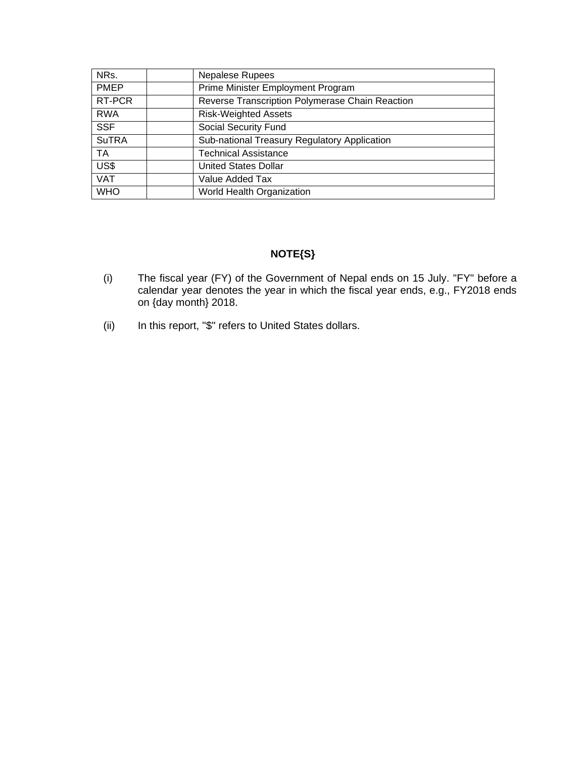| NRs.         | Nepalese Rupees                                 |
|--------------|-------------------------------------------------|
| <b>PMEP</b>  | Prime Minister Employment Program               |
| RT-PCR       | Reverse Transcription Polymerase Chain Reaction |
| <b>RWA</b>   | <b>Risk-Weighted Assets</b>                     |
| <b>SSF</b>   | Social Security Fund                            |
| <b>SuTRA</b> | Sub-national Treasury Regulatory Application    |
| <b>TA</b>    | <b>Technical Assistance</b>                     |
| US\$         | <b>United States Dollar</b>                     |
| <b>VAT</b>   | Value Added Tax                                 |
| <b>WHO</b>   | World Health Organization                       |

## **NOTE{S}**

- (i) The fiscal year (FY) of the Government of Nepal ends on 15 July. "FY" before a calendar year denotes the year in which the fiscal year ends, e.g., FY2018 ends on {day month} 2018.
- (ii) In this report, "\$" refers to United States dollars.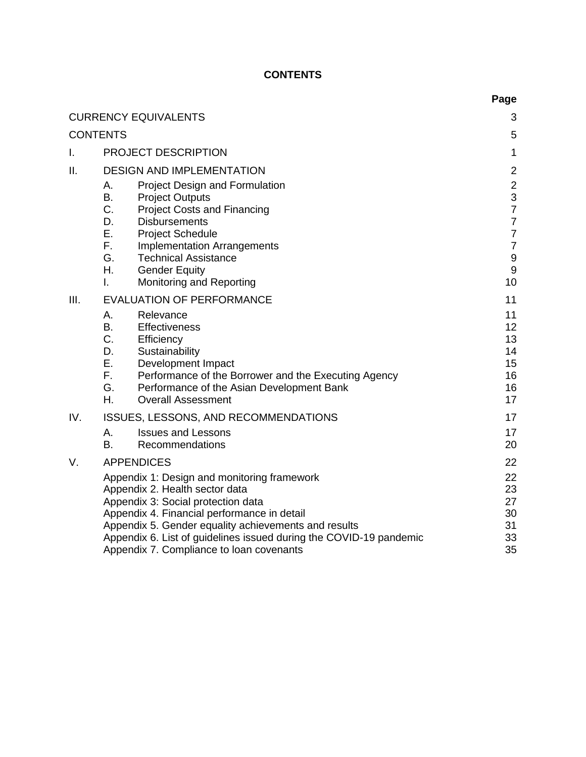## **CONTENTS**

<span id="page-4-0"></span>

|      |                                                                                                                            | Page                               |
|------|----------------------------------------------------------------------------------------------------------------------------|------------------------------------|
|      | <b>CURRENCY EQUIVALENTS</b>                                                                                                | 3                                  |
|      | <b>CONTENTS</b>                                                                                                            | 5                                  |
| T.   | PROJECT DESCRIPTION                                                                                                        | $\mathbf{1}$                       |
| II.  | <b>DESIGN AND IMPLEMENTATION</b>                                                                                           | $\overline{2}$                     |
|      | Project Design and Formulation<br>Α.                                                                                       | $\overline{2}$                     |
|      | <b>B.</b><br><b>Project Outputs</b>                                                                                        | 3                                  |
|      | C.<br><b>Project Costs and Financing</b>                                                                                   | $\overline{7}$                     |
|      | D.<br><b>Disbursements</b>                                                                                                 | $\overline{7}$                     |
|      | Ε.<br><b>Project Schedule</b><br>F.                                                                                        | $\overline{7}$                     |
|      | <b>Implementation Arrangements</b><br>G.<br><b>Technical Assistance</b>                                                    | $\overline{7}$<br>$\boldsymbol{9}$ |
|      | Η.<br><b>Gender Equity</b>                                                                                                 | 9                                  |
|      | Monitoring and Reporting<br>L.                                                                                             | 10                                 |
| III. | <b>EVALUATION OF PERFORMANCE</b>                                                                                           | 11                                 |
|      | А.<br>Relevance                                                                                                            | 11                                 |
|      | <b>B.</b><br><b>Effectiveness</b>                                                                                          | 12                                 |
|      | C.<br>Efficiency                                                                                                           | 13                                 |
|      | D.<br>Sustainability                                                                                                       | 14                                 |
|      | Ε.<br>Development Impact<br>F.                                                                                             | 15<br>16                           |
|      | Performance of the Borrower and the Executing Agency<br>G.<br>Performance of the Asian Development Bank                    | 16                                 |
|      | Η.<br><b>Overall Assessment</b>                                                                                            | 17                                 |
| IV.  | <b>ISSUES, LESSONS, AND RECOMMENDATIONS</b>                                                                                | 17                                 |
|      | <b>Issues and Lessons</b><br>Α.                                                                                            | 17                                 |
|      | B.<br>Recommendations                                                                                                      | 20                                 |
| V.   | <b>APPENDICES</b>                                                                                                          | 22                                 |
|      | Appendix 1: Design and monitoring framework                                                                                | 22                                 |
|      | Appendix 2. Health sector data                                                                                             | 23                                 |
|      | Appendix 3: Social protection data                                                                                         | 27                                 |
|      | Appendix 4. Financial performance in detail                                                                                | 30                                 |
|      | Appendix 5. Gender equality achievements and results<br>Appendix 6. List of guidelines issued during the COVID-19 pandemic | 31<br>33                           |
|      | Appendix 7. Compliance to loan covenants                                                                                   | 35                                 |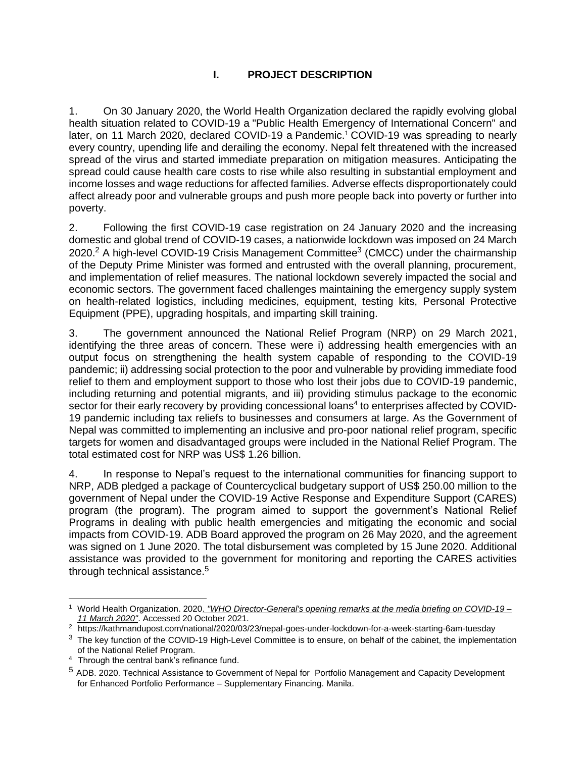## **I. PROJECT DESCRIPTION**

<span id="page-5-0"></span>1. On 30 January 2020, the World Health Organization declared the rapidly evolving global health situation related to COVID-19 a "Public Health Emergency of International Concern" and later, on 11 March 2020, declared COVID-19 a Pandemic.<sup>1</sup> COVID-19 was spreading to nearly every country, upending life and derailing the economy. Nepal felt threatened with the increased spread of the virus and started immediate preparation on mitigation measures. Anticipating the spread could cause health care costs to rise while also resulting in substantial employment and income losses and wage reductions for affected families. Adverse effects disproportionately could affect already poor and vulnerable groups and push more people back into poverty or further into poverty.

2. Following the first COVID-19 case registration on 24 January 2020 and the increasing domestic and global trend of COVID-19 cases, a nationwide lockdown was imposed on 24 March 2020.<sup>2</sup> A high-level COVID-19 Crisis Management Committee<sup>3</sup> (CMCC) under the chairmanship of the Deputy Prime Minister was formed and entrusted with the overall planning, procurement, and implementation of relief measures. The national lockdown severely impacted the social and economic sectors. The government faced challenges maintaining the emergency supply system on health-related logistics, including medicines, equipment, testing kits, Personal Protective Equipment (PPE), upgrading hospitals, and imparting skill training.

3. The government announced the National Relief Program (NRP) on 29 March 2021, identifying the three areas of concern. These were i) addressing health emergencies with an output focus on strengthening the health system capable of responding to the COVID-19 pandemic; ii) addressing social protection to the poor and vulnerable by providing immediate food relief to them and employment support to those who lost their jobs due to COVID-19 pandemic, including returning and potential migrants, and iii) providing stimulus package to the economic sector for their early recovery by providing concessional loans<sup>4</sup> to enterprises affected by COVID-19 pandemic including tax reliefs to businesses and consumers at large. As the Government of Nepal was committed to implementing an inclusive and pro-poor national relief program, specific targets for women and disadvantaged groups were included in the National Relief Program. The total estimated cost for NRP was US\$ 1.26 billion.

4. In response to Nepal's request to the international communities for financing support to NRP, ADB pledged a package of Countercyclical budgetary support of US\$ 250.00 million to the government of Nepal under the COVID-19 Active Response and Expenditure Support (CARES) program (the program). The program aimed to support the government's National Relief Programs in dealing with public health emergencies and mitigating the economic and social impacts from COVID-19. ADB Board approved the program on 26 May 2020, and the agreement was signed on 1 June 2020. The total disbursement was completed by 15 June 2020. Additional assistance was provided to the government for monitoring and reporting the CARES activities through technical assistance.<sup>5</sup>

<sup>1</sup> World Health Organization. 2020. *["WHO Director-General's opening remarks at the media briefing on COVID-19 –](https://web.archive.org/web/20210815071024/https:/www.who.int/director-general/speeches/detail/who-director-general-s-opening-remarks-at-the-media-briefing-on-covid-19---11-march-2020) [11 March 2020"](https://web.archive.org/web/20210815071024/https:/www.who.int/director-general/speeches/detail/who-director-general-s-opening-remarks-at-the-media-briefing-on-covid-19---11-march-2020)*. Accessed 20 October 2021.

<sup>2</sup> https://kathmandupost.com/national/2020/03/23/nepal-goes-under-lockdown-for-a-week-starting-6am-tuesday

<sup>&</sup>lt;sup>3</sup> The key function of the COVID-19 High-Level Committee is to ensure, on behalf of the cabinet, the implementation of the National Relief Program.

<sup>&</sup>lt;sup>4</sup> Through the central bank's refinance fund.

<sup>&</sup>lt;sup>5</sup> ADB. 2020. Technical Assistance to Government of Nepal for Portfolio Management and Capacity Development for Enhanced Portfolio Performance – Supplementary Financing. Manila.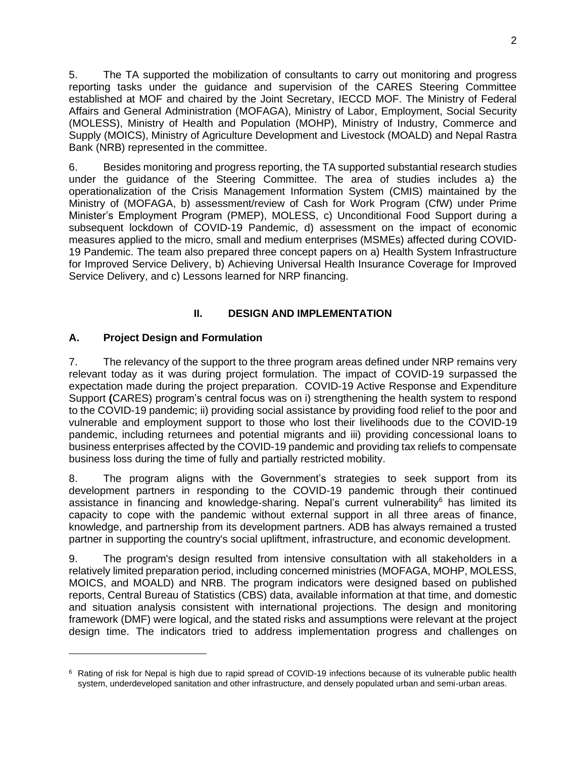5. The TA supported the mobilization of consultants to carry out monitoring and progress reporting tasks under the guidance and supervision of the CARES Steering Committee established at MOF and chaired by the Joint Secretary, IECCD MOF. The Ministry of Federal Affairs and General Administration (MOFAGA), Ministry of Labor, Employment, Social Security (MOLESS), Ministry of Health and Population (MOHP), Ministry of Industry, Commerce and Supply (MOICS), Ministry of Agriculture Development and Livestock (MOALD) and Nepal Rastra Bank (NRB) represented in the committee.

6. Besides monitoring and progress reporting, the TA supported substantial research studies under the guidance of the Steering Committee. The area of studies includes a) the operationalization of the Crisis Management Information System (CMIS) maintained by the Ministry of (MOFAGA, b) assessment/review of Cash for Work Program (CfW) under Prime Minister's Employment Program (PMEP), MOLESS, c) Unconditional Food Support during a subsequent lockdown of COVID-19 Pandemic, d) assessment on the impact of economic measures applied to the micro, small and medium enterprises (MSMEs) affected during COVID-19 Pandemic. The team also prepared three concept papers on a) Health System Infrastructure for Improved Service Delivery, b) Achieving Universal Health Insurance Coverage for Improved Service Delivery, and c) Lessons learned for NRP financing.

## **II. DESIGN AND IMPLEMENTATION**

## <span id="page-6-1"></span><span id="page-6-0"></span>**A. Project Design and Formulation**

7. The relevancy of the support to the three program areas defined under NRP remains very relevant today as it was during project formulation. The impact of COVID-19 surpassed the expectation made during the project preparation. COVID-19 Active Response and Expenditure Support **(**CARES) program's central focus was on i) strengthening the health system to respond to the COVID-19 pandemic; ii) providing social assistance by providing food relief to the poor and vulnerable and employment support to those who lost their livelihoods due to the COVID-19 pandemic, including returnees and potential migrants and iii) providing concessional loans to business enterprises affected by the COVID-19 pandemic and providing tax reliefs to compensate business loss during the time of fully and partially restricted mobility.

8. The program aligns with the Government's strategies to seek support from its development partners in responding to the COVID-19 pandemic through their continued assistance in financing and knowledge-sharing. Nepal's current vulnerability<sup>6</sup> has limited its capacity to cope with the pandemic without external support in all three areas of finance, knowledge, and partnership from its development partners. ADB has always remained a trusted partner in supporting the country's social upliftment, infrastructure, and economic development.

9. The program's design resulted from intensive consultation with all stakeholders in a relatively limited preparation period, including concerned ministries (MOFAGA, MOHP, MOLESS, MOICS, and MOALD) and NRB. The program indicators were designed based on published reports, Central Bureau of Statistics (CBS) data, available information at that time, and domestic and situation analysis consistent with international projections. The design and monitoring framework (DMF) were logical, and the stated risks and assumptions were relevant at the project design time. The indicators tried to address implementation progress and challenges on

<sup>&</sup>lt;sup>6</sup> Rating of risk for Nepal is high due to rapid spread of COVID-19 infections because of its vulnerable public health system, underdeveloped sanitation and other infrastructure, and densely populated urban and semi-urban areas.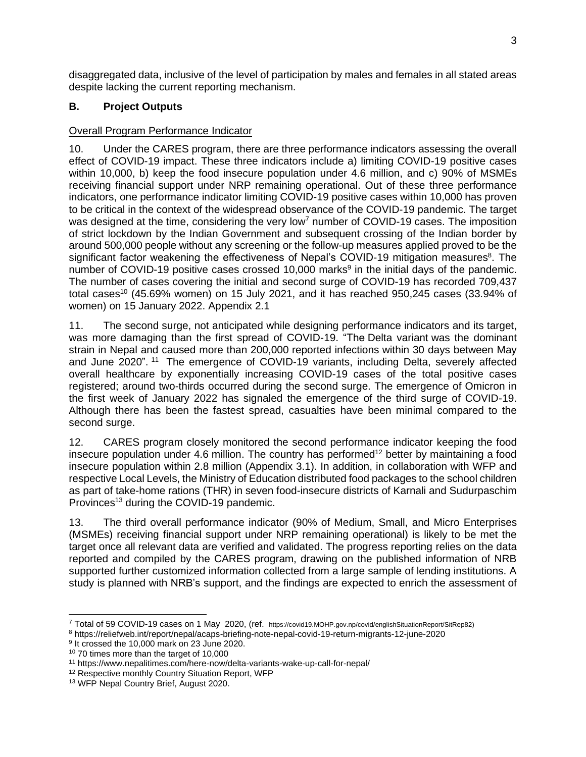disaggregated data, inclusive of the level of participation by males and females in all stated areas despite lacking the current reporting mechanism.

## <span id="page-7-0"></span>**B. Project Outputs**

## Overall Program Performance Indicator

10. Under the CARES program, there are three performance indicators assessing the overall effect of COVID-19 impact. These three indicators include a) limiting COVID-19 positive cases within 10,000, b) keep the food insecure population under 4.6 million, and c) 90% of MSMEs receiving financial support under NRP remaining operational. Out of these three performance indicators, one performance indicator limiting COVID-19 positive cases within 10,000 has proven to be critical in the context of the widespread observance of the COVID-19 pandemic. The target was designed at the time, considering the very low<sup>7</sup> number of COVID-19 cases. The imposition of strict lockdown by the Indian Government and subsequent crossing of the Indian border by around 500,000 people without any screening or the follow-up measures applied proved to be the significant factor weakening the effectiveness of Nepal's COVID-19 mitigation measures<sup>8</sup>. The number of COVID-19 positive cases crossed 10,000 marks<sup>9</sup> in the initial days of the pandemic. The number of cases covering the initial and second surge of COVID-19 has recorded 709,437 total cases<sup>10</sup> (45.69% women) on 15 July 2021, and it has reached 950,245 cases (33.94% of women) on 15 January 2022. Appendix 2.1

11. The second surge, not anticipated while designing performance indicators and its target, was more damaging than the first spread of COVID-19. "The [Delta variant](https://www.nepalitimes.com/banner/vaccines-variants-and-a-third-wave/) was the dominant strain in Nepal and caused more than 200,000 reported infections within 30 days between May and June 2020". <sup>11</sup> The emergence of COVID-19 variants, including Delta, severely affected overall healthcare by exponentially increasing COVID-19 cases of the total positive cases registered; around two-thirds occurred during the second surge. The emergence of Omicron in the first week of January 2022 has signaled the emergence of the third surge of COVID-19. Although there has been the fastest spread, casualties have been minimal compared to the second surge.

12. CARES program closely monitored the second performance indicator keeping the food insecure population under 4.6 million. The country has performed<sup>12</sup> better by maintaining a food insecure population within 2.8 million (Appendix 3.1). In addition, in collaboration with WFP and respective Local Levels, the Ministry of Education distributed food packages to the school children as part of take-home rations (THR) in seven food-insecure districts of Karnali and Sudurpaschim Provinces<sup>13</sup> during the COVID-19 pandemic.

13. The third overall performance indicator (90% of Medium, Small, and Micro Enterprises (MSMEs) receiving financial support under NRP remaining operational) is likely to be met the target once all relevant data are verified and validated. The progress reporting relies on the data reported and compiled by the CARES program, drawing on the published information of NRB supported further customized information collected from a large sample of lending institutions. A study is planned with NRB's support, and the findings are expected to enrich the assessment of

<sup>7</sup> Total of 59 COVID-19 cases on 1 May 2020, (ref. https://covid19.MOHP.gov.np/covid/englishSituationReport/SitRep82)

<sup>8</sup> https://reliefweb.int/report/nepal/acaps-briefing-note-nepal-covid-19-return-migrants-12-june-2020

<sup>&</sup>lt;sup>9</sup> It crossed the 10,000 mark on 23 June 2020.

<sup>10</sup> 70 times more than the target of 10,000

<sup>11</sup> https://www.nepalitimes.com/here-now/delta-variants-wake-up-call-for-nepal/

<sup>&</sup>lt;sup>12</sup> Respective monthly Country Situation Report, WFP

<sup>13</sup> WFP Nepal Country Brief, August 2020.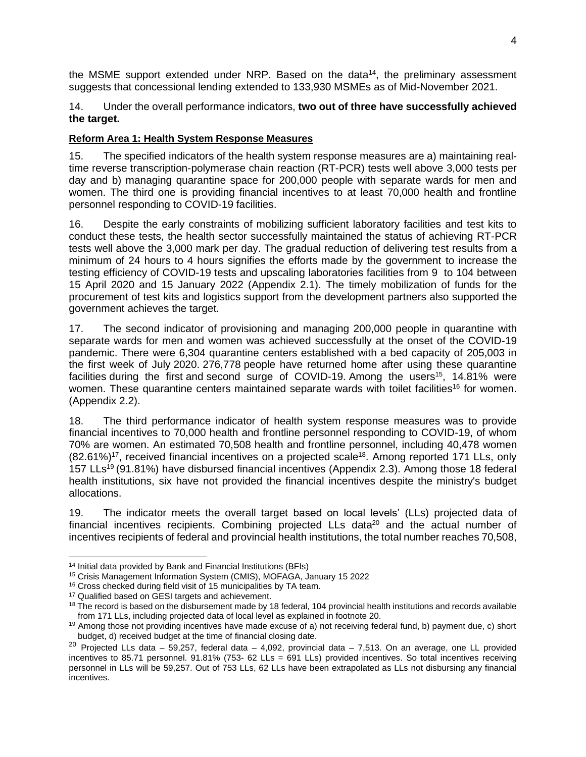the MSME support extended under NRP. Based on the data<sup>14</sup>, the preliminary assessment suggests that concessional lending extended to 133,930 MSMEs as of Mid-November 2021.

#### 14. Under the overall performance indicators, **two out of three have successfully achieved the target.**

#### **Reform Area 1: Health System Response Measures**

15. The specified indicators of the health system response measures are a) maintaining realtime reverse transcription-polymerase chain reaction (RT-PCR) tests well above 3,000 tests per day and b) managing quarantine space for 200,000 people with separate wards for men and women. The third one is providing financial incentives to at least 70,000 health and frontline personnel responding to COVID-19 facilities.

16. Despite the early constraints of mobilizing sufficient laboratory facilities and test kits to conduct these tests, the health sector successfully maintained the status of achieving RT-PCR tests well above the 3,000 mark per day. The gradual reduction of delivering test results from a minimum of 24 hours to 4 hours signifies the efforts made by the government to increase the testing efficiency of COVID-19 tests and upscaling laboratories facilities from 9 to 104 between 15 April 2020 and 15 January 2022 (Appendix 2.1). The timely mobilization of funds for the procurement of test kits and logistics support from the development partners also supported the government achieves the target.

17. The second indicator of provisioning and managing 200,000 people in quarantine with separate wards for men and women was achieved successfully at the onset of the COVID-19 pandemic. There were 6,304 quarantine centers established with a bed capacity of 205,003 in the first week of July 2020. 276,778 people have returned home after using these quarantine facilities during the first and second surge of COVID-19. Among the users<sup>15</sup>, 14.81% were women. These quarantine centers maintained separate wards with toilet facilities<sup>16</sup> for women. (Appendix 2.2).

18. The third performance indicator of health system response measures was to provide financial incentives to 70,000 health and frontline personnel responding to COVID-19, of whom 70% are women. An estimated 70,508 health and frontline personnel, including 40,478 women  $(82.61\%)$ <sup>17</sup>, received financial incentives on a projected scale<sup>18</sup>. Among reported 171 LLs, only 157 LLs<sup>19</sup> (91.81%) have disbursed financial incentives (Appendix 2.3). Among those 18 federal health institutions, six have not provided the financial incentives despite the ministry's budget allocations.

19. The indicator meets the overall target based on local levels' (LLs) projected data of financial incentives recipients. Combining projected LLs data<sup>20</sup> and the actual number of incentives recipients of federal and provincial health institutions, the total number reaches 70,508,

<sup>14</sup> Initial data provided by Bank and Financial Institutions (BFIs)

<sup>15</sup> Crisis Management Information System (CMIS), MOFAGA, January 15 2022

<sup>&</sup>lt;sup>16</sup> Cross checked during field visit of 15 municipalities by TA team.

<sup>&</sup>lt;sup>17</sup> Qualified based on GESI targets and achievement.

 $18$  The record is based on the disbursement made by 18 federal, 104 provincial health institutions and records available from 171 LLs, including projected data of local level as explained in footnote 20.

<sup>&</sup>lt;sup>19</sup> Among those not providing incentives have made excuse of a) not receiving federal fund, b) payment due, c) short budget, d) received budget at the time of financial closing date.

 $20$  Projected LLs data – 59,257, federal data – 4,092, provincial data – 7,513. On an average, one LL provided incentives to 85.71 personnel. 91.81% (753- 62 LLs = 691 LLs) provided incentives. So total incentives receiving personnel in LLs will be 59,257. Out of 753 LLs, 62 LLs have been extrapolated as LLs not disbursing any financial incentives.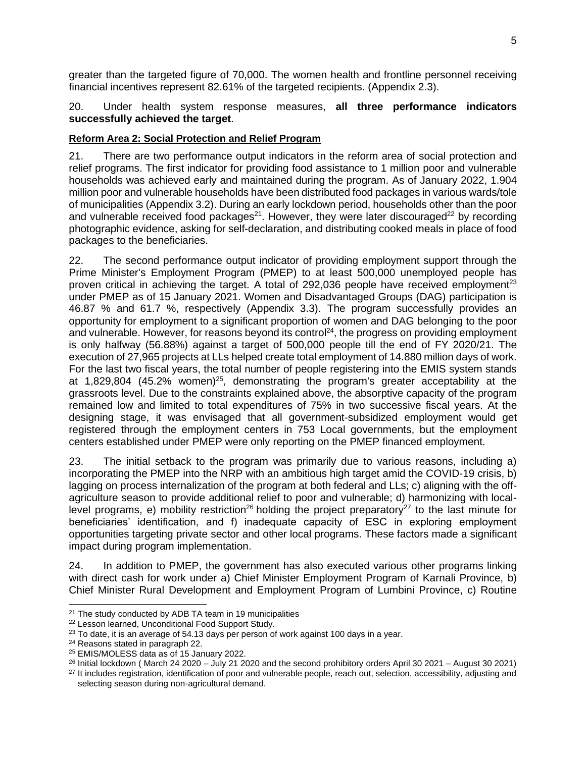greater than the targeted figure of 70,000. The women health and frontline personnel receiving financial incentives represent 82.61% of the targeted recipients. (Appendix 2.3).

#### 20. Under health system response measures, **all three performance indicators successfully achieved the target**.

#### **Reform Area 2: Social Protection and Relief Program**

21. There are two performance output indicators in the reform area of social protection and relief programs. The first indicator for providing food assistance to 1 million poor and vulnerable households was achieved early and maintained during the program. As of January 2022, 1.904 million poor and vulnerable households have been distributed food packages in various wards/tole of municipalities (Appendix 3.2). During an early lockdown period, households other than the poor and vulnerable received food packages<sup>21</sup>. However, they were later discouraged<sup>22</sup> by recording photographic evidence, asking for self-declaration, and distributing cooked meals in place of food packages to the beneficiaries.

22. The second performance output indicator of providing employment support through the Prime Minister's Employment Program (PMEP) to at least 500,000 unemployed people has proven critical in achieving the target. A total of 292,036 people have received employment<sup>23</sup> under PMEP as of 15 January 2021. Women and Disadvantaged Groups (DAG) participation is 46.87 % and 61.7 %, respectively (Appendix 3.3). The program successfully provides an opportunity for employment to a significant proportion of women and DAG belonging to the poor and vulnerable. However, for reasons beyond its control<sup>24</sup>, the progress on providing employment is only halfway (56.88%) against a target of 500,000 people till the end of FY 2020/21. The execution of 27,965 projects at LLs helped create total employment of 14.880 million days of work. For the last two fiscal years, the total number of people registering into the EMIS system stands at 1,829,804 (45.2% women)<sup>25</sup>, demonstrating the program's greater acceptability at the grassroots level. Due to the constraints explained above, the absorptive capacity of the program remained low and limited to total expenditures of 75% in two successive fiscal years. At the designing stage, it was envisaged that all government-subsidized employment would get registered through the employment centers in 753 Local governments, but the employment centers established under PMEP were only reporting on the PMEP financed employment.

23. The initial setback to the program was primarily due to various reasons, including a) incorporating the PMEP into the NRP with an ambitious high target amid the COVID-19 crisis, b) lagging on process internalization of the program at both federal and LLs; c) aligning with the offagriculture season to provide additional relief to poor and vulnerable; d) harmonizing with locallevel programs, e) mobility restriction<sup>26</sup> holding the project preparatory<sup>27</sup> to the last minute for beneficiaries' identification, and f) inadequate capacity of ESC in exploring employment opportunities targeting private sector and other local programs. These factors made a significant impact during program implementation.

24. In addition to PMEP, the government has also executed various other programs linking with direct cash for work under a) Chief Minister Employment Program of Karnali Province, b) Chief Minister Rural Development and Employment Program of Lumbini Province, c) Routine

<sup>&</sup>lt;sup>21</sup> The study conducted by ADB TA team in 19 municipalities

<sup>22</sup> Lesson learned, Unconditional Food Support Study.

 $23$  To date, it is an average of 54.13 days per person of work against 100 days in a year.

<sup>24</sup> Reasons stated in paragraph 22.

<sup>25</sup> EMIS/MOLESS data as of 15 January 2022.

<sup>&</sup>lt;sup>26</sup> Initial lockdown (March 24 2020 – July 21 2020 and the second prohibitory orders April 30 2021 – August 30 2021)

<sup>&</sup>lt;sup>27</sup> It includes registration, identification of poor and vulnerable people, reach out, selection, accessibility, adjusting and selecting season during non-agricultural demand.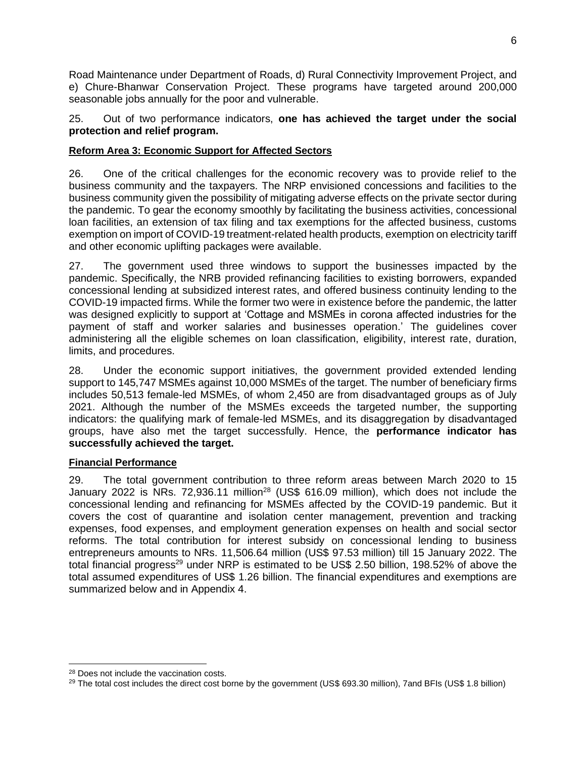Road Maintenance under Department of Roads, d) Rural Connectivity Improvement Project, and e) Chure-Bhanwar Conservation Project. These programs have targeted around 200,000 seasonable jobs annually for the poor and vulnerable.

25. Out of two performance indicators, **one has achieved the target under the social protection and relief program.**

#### **Reform Area 3: Economic Support for Affected Sectors**

26. One of the critical challenges for the economic recovery was to provide relief to the business community and the taxpayers. The NRP envisioned concessions and facilities to the business community given the possibility of mitigating adverse effects on the private sector during the pandemic. To gear the economy smoothly by facilitating the business activities, concessional loan facilities, an extension of tax filing and tax exemptions for the affected business, customs exemption on import of COVID-19 treatment-related health products, exemption on electricity tariff and other economic uplifting packages were available.

27. The government used three windows to support the businesses impacted by the pandemic. Specifically, the NRB provided refinancing facilities to existing borrowers, expanded concessional lending at subsidized interest rates, and offered business continuity lending to the COVID-19 impacted firms. While the former two were in existence before the pandemic, the latter was designed explicitly to support at 'Cottage and MSMEs in corona affected industries for the payment of staff and worker salaries and businesses operation.' The guidelines cover administering all the eligible schemes on loan classification, eligibility, interest rate, duration, limits, and procedures.

28. Under the economic support initiatives, the government provided extended lending support to 145,747 MSMEs against 10,000 MSMEs of the target. The number of beneficiary firms includes 50,513 female-led MSMEs, of whom 2,450 are from disadvantaged groups as of July 2021. Although the number of the MSMEs exceeds the targeted number, the supporting indicators: the qualifying mark of female-led MSMEs, and its disaggregation by disadvantaged groups, have also met the target successfully. Hence, the **performance indicator has successfully achieved the target.** 

#### **Financial Performance**

29. The total government contribution to three reform areas between March 2020 to 15 January 2022 is NRs. 72,936.11 million<sup>28</sup> (US\$ 616.09 million), which does not include the concessional lending and refinancing for MSMEs affected by the COVID-19 pandemic. But it covers the cost of quarantine and isolation center management, prevention and tracking expenses, food expenses, and employment generation expenses on health and social sector reforms. The total contribution for interest subsidy on concessional lending to business entrepreneurs amounts to NRs. 11,506.64 million (US\$ 97.53 million) till 15 January 2022. The total financial progress<sup>29</sup> under NRP is estimated to be US\$ 2.50 billion, 198.52% of above the total assumed expenditures of US\$ 1.26 billion. The financial expenditures and exemptions are summarized below and in Appendix 4.

<sup>28</sup> Does not include the vaccination costs.

<sup>&</sup>lt;sup>29</sup> The total cost includes the direct cost borne by the government (US\$ 693.30 million), 7and BFIs (US\$ 1.8 billion)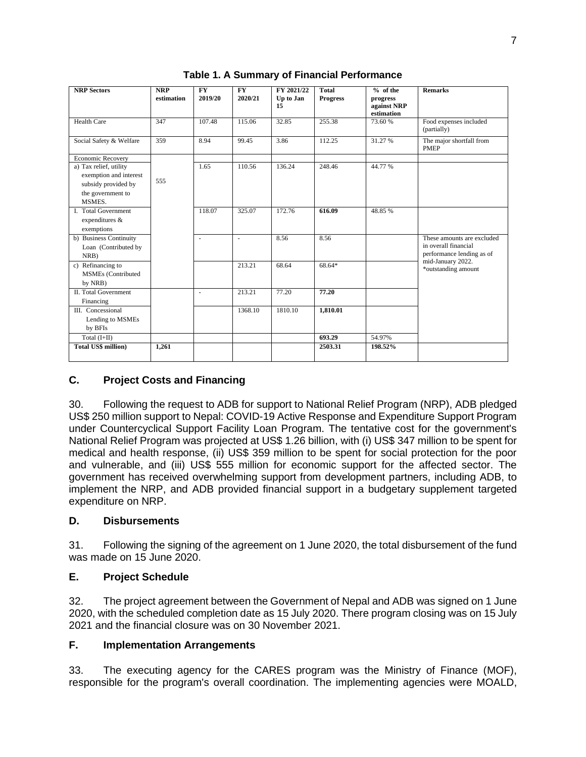| <b>NRP Sectors</b>          | <b>NRP</b> | <b>FY</b>                | <b>FY</b> | FY 2021/22 | <b>Total</b>    | $%$ of the  | <b>Remarks</b>                                 |
|-----------------------------|------------|--------------------------|-----------|------------|-----------------|-------------|------------------------------------------------|
|                             | estimation | 2019/20                  | 2020/21   | Up to Jan  | <b>Progress</b> | progress    |                                                |
|                             |            |                          |           | 15         |                 | against NRP |                                                |
|                             |            |                          |           |            |                 | estimation  |                                                |
| Health Care                 | 347        | 107.48                   | 115.06    | 32.85      | 255.38          | 73.60 %     | Food expenses included<br>(partially)          |
| Social Safety & Welfare     | 359        | 8.94                     | 99.45     | 3.86       | 112.25          | 31.27 %     | The major shortfall from<br><b>PMEP</b>        |
| <b>Economic Recovery</b>    |            |                          |           |            |                 |             |                                                |
| a) Tax relief, utility      |            | 1.65                     | 110.56    | 136.24     | 248.46          | 44.77 %     |                                                |
| exemption and interest      |            |                          |           |            |                 |             |                                                |
| subsidy provided by         | 555        |                          |           |            |                 |             |                                                |
| the government to           |            |                          |           |            |                 |             |                                                |
| MSMES.                      |            |                          |           |            |                 |             |                                                |
| <b>I.</b> Total Government  |            | 118.07                   | 325.07    | 172.76     | 616.09          | 48.85%      |                                                |
| expenditures &              |            |                          |           |            |                 |             |                                                |
| exemptions                  |            |                          |           |            |                 |             |                                                |
| b) Business Continuity      |            | $\overline{\phantom{a}}$ | ÷,        | 8.56       | 8.56            |             | These amounts are excluded                     |
| Loan (Contributed by        |            |                          |           |            |                 |             | in overall financial                           |
| NRB)                        |            |                          |           |            |                 |             | performance lending as of<br>mid-January 2022. |
| c) Refinancing to           |            |                          | 213.21    | 68.64      | 68.64*          |             | *outstanding amount                            |
| <b>MSMEs</b> (Contributed   |            |                          |           |            |                 |             |                                                |
| by NRB)                     |            |                          |           |            |                 |             |                                                |
| <b>II.</b> Total Government |            | $\overline{a}$           | 213.21    | 77.20      | 77.20           |             |                                                |
| Financing                   |            |                          |           |            |                 |             |                                                |
| III. Concessional           |            |                          | 1368.10   | 1810.10    | 1,810.01        |             |                                                |
| Lending to MSMEs            |            |                          |           |            |                 |             |                                                |
| by BFIs                     |            |                          |           |            |                 |             |                                                |
| Total $(I+II)$              |            |                          |           |            | 693.29          | 54.97%      |                                                |
| <b>Total US\$ million)</b>  | 1.261      |                          |           |            | 2503.31         | 198.52%     |                                                |
|                             |            |                          |           |            |                 |             |                                                |

**Table 1. A Summary of Financial Performance** 

### <span id="page-11-0"></span>**C. Project Costs and Financing**

30. Following the request to ADB for support to National Relief Program (NRP), ADB pledged US\$ 250 million support to Nepal: COVID-19 Active Response and Expenditure Support Program under Countercyclical Support Facility Loan Program. The tentative cost for the government's National Relief Program was projected at US\$ 1.26 billion, with (i) US\$ 347 million to be spent for medical and health response, (ii) US\$ 359 million to be spent for social protection for the poor and vulnerable, and (iii) US\$ 555 million for economic support for the affected sector. The government has received overwhelming support from development partners, including ADB, to implement the NRP, and ADB provided financial support in a budgetary supplement targeted expenditure on NRP.

#### <span id="page-11-1"></span>**D. Disbursements**

31. Following the signing of the agreement on 1 June 2020, the total disbursement of the fund was made on 15 June 2020.

#### <span id="page-11-2"></span>**E. Project Schedule**

32. The project agreement between the Government of Nepal and ADB was signed on 1 June 2020, with the scheduled completion date as 15 July 2020. There program closing was on 15 July 2021 and the financial closure was on 30 November 2021.

#### <span id="page-11-3"></span>**F. Implementation Arrangements**

33. The executing agency for the CARES program was the Ministry of Finance (MOF), responsible for the program's overall coordination. The implementing agencies were MOALD,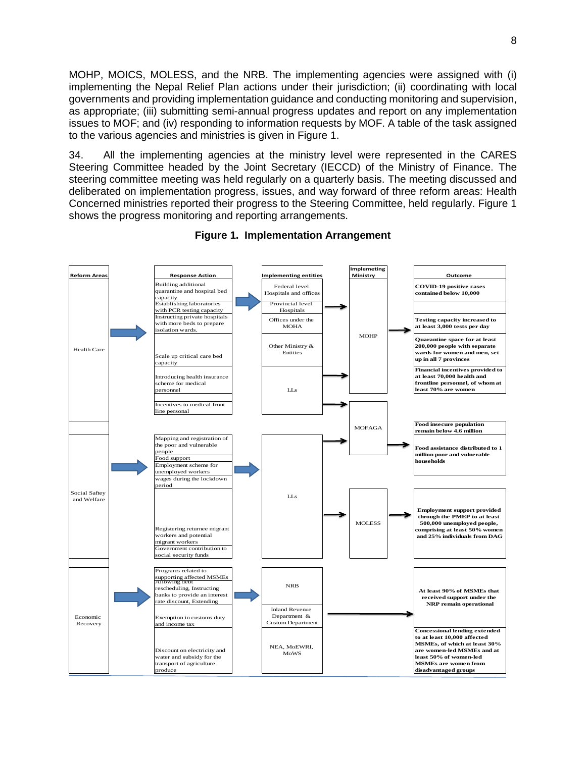MOHP, MOICS, MOLESS, and the NRB. The implementing agencies were assigned with (i) implementing the Nepal Relief Plan actions under their jurisdiction; (ii) coordinating with local governments and providing implementation guidance and conducting monitoring and supervision, as appropriate; (iii) submitting semi-annual progress updates and report on any implementation issues to MOF; and (iv) responding to information requests by MOF. A table of the task assigned to the various agencies and ministries is given in Figure 1.

34. All the implementing agencies at the ministry level were represented in the CARES Steering Committee headed by the Joint Secretary (IECCD) of the Ministry of Finance. The steering committee meeting was held regularly on a quarterly basis. The meeting discussed and deliberated on implementation progress, issues, and way forward of three reform areas: Health Concerned ministries reported their progress to the Steering Committee, held regularly. Figure 1 shows the progress monitoring and reporting arrangements.



**Figure 1. Implementation Arrangement**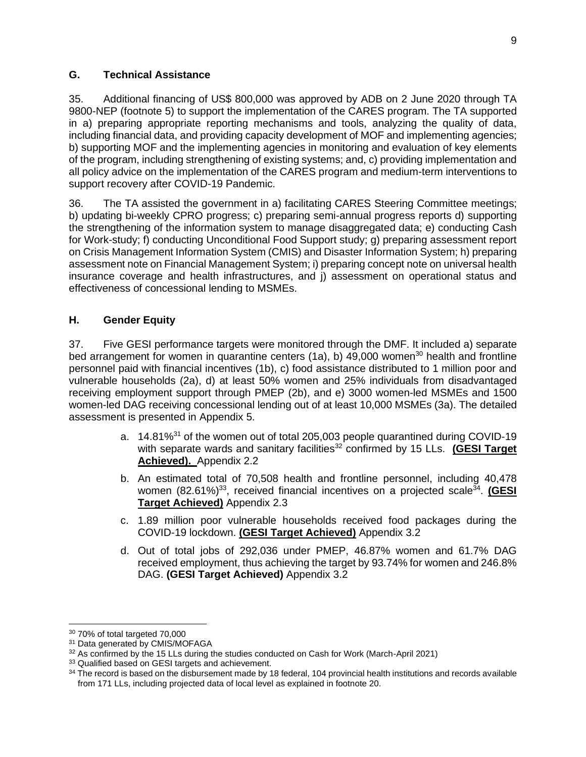## <span id="page-13-0"></span>**G. Technical Assistance**

35. Additional financing of US\$ 800,000 was approved by ADB on 2 June 2020 through TA 9800-NEP (footnote 5) to support the implementation of the CARES program. The TA supported in a) preparing appropriate reporting mechanisms and tools, analyzing the quality of data, including financial data, and providing capacity development of MOF and implementing agencies; b) supporting MOF and the implementing agencies in monitoring and evaluation of key elements of the program, including strengthening of existing systems; and, c) providing implementation and all policy advice on the implementation of the CARES program and medium-term interventions to support recovery after COVID-19 Pandemic.

36. The TA assisted the government in a) facilitating CARES Steering Committee meetings; b) updating bi-weekly CPRO progress; c) preparing semi-annual progress reports d) supporting the strengthening of the information system to manage disaggregated data; e) conducting Cash for Work-study; f) conducting Unconditional Food Support study; g) preparing assessment report on Crisis Management Information System (CMIS) and Disaster Information System; h) preparing assessment note on Financial Management System; i) preparing concept note on universal health insurance coverage and health infrastructures, and j) assessment on operational status and effectiveness of concessional lending to MSMEs.

## <span id="page-13-1"></span>**H. Gender Equity**

37. Five GESI performance targets were monitored through the DMF. It included a) separate bed arrangement for women in quarantine centers (1a), b) 49,000 women<sup>30</sup> health and frontline personnel paid with financial incentives (1b), c) food assistance distributed to 1 million poor and vulnerable households (2a), d) at least 50% women and 25% individuals from disadvantaged receiving employment support through PMEP (2b), and e) 3000 women-led MSMEs and 1500 women-led DAG receiving concessional lending out of at least 10,000 MSMEs (3a). The detailed assessment is presented in Appendix 5.

- a. 14.81%<sup>31</sup> of the women out of total 205,003 people quarantined during COVID-19 with separate wards and sanitary facilities<sup>32</sup> confirmed by 15 LLs. **(GESI Target Achieved).** Appendix 2.2
- b. An estimated total of 70,508 health and frontline personnel, including 40,478 women (82.61%)<sup>33</sup>, received financial incentives on a projected scale<sup>34</sup>. **(GESI Target Achieved)** Appendix 2.3
- c. 1.89 million poor vulnerable households received food packages during the COVID-19 lockdown. **(GESI Target Achieved)** Appendix 3.2
- d. Out of total jobs of 292,036 under PMEP, 46.87% women and 61.7% DAG received employment, thus achieving the target by 93.74% for women and 246.8% DAG. **(GESI Target Achieved)** Appendix 3.2

<sup>30</sup> 70% of total targeted 70,000

<sup>&</sup>lt;sup>31</sup> Data generated by CMIS/MOFAGA

 $32$  As confirmed by the 15 LLs during the studies conducted on Cash for Work (March-April 2021)

<sup>&</sup>lt;sup>33</sup> Qualified based on GESI targets and achievement.

<sup>&</sup>lt;sup>34</sup> The record is based on the disbursement made by 18 federal, 104 provincial health institutions and records available from 171 LLs, including projected data of local level as explained in footnote 20.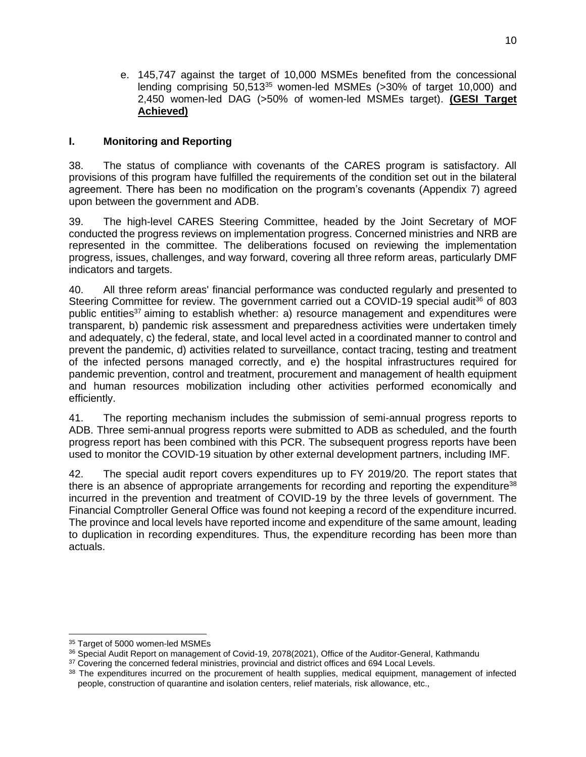e. 145,747 against the target of 10,000 MSMEs benefited from the concessional lending comprising 50,513<sup>35</sup> women-led MSMEs (>30% of target 10,000) and 2,450 women-led DAG (>50% of women-led MSMEs target). **(GESI Target Achieved)**

## <span id="page-14-0"></span>**I. Monitoring and Reporting**

38. The status of compliance with covenants of the CARES program is satisfactory. All provisions of this program have fulfilled the requirements of the condition set out in the bilateral agreement. There has been no modification on the program's covenants (Appendix 7) agreed upon between the government and ADB.

39. The high-level CARES Steering Committee, headed by the Joint Secretary of MOF conducted the progress reviews on implementation progress. Concerned ministries and NRB are represented in the committee. The deliberations focused on reviewing the implementation progress, issues, challenges, and way forward, covering all three reform areas, particularly DMF indicators and targets.

40. All three reform areas' financial performance was conducted regularly and presented to Steering Committee for review. The government carried out a COVID-19 special audit<sup>36</sup> of 803 public entities<sup>37</sup> aiming to establish whether: a) resource management and expenditures were transparent, b) pandemic risk assessment and preparedness activities were undertaken timely and adequately, c) the federal, state, and local level acted in a coordinated manner to control and prevent the pandemic, d) activities related to surveillance, contact tracing, testing and treatment of the infected persons managed correctly, and e) the hospital infrastructures required for pandemic prevention, control and treatment, procurement and management of health equipment and human resources mobilization including other activities performed economically and efficiently.

41. The reporting mechanism includes the submission of semi-annual progress reports to ADB. Three semi-annual progress reports were submitted to ADB as scheduled, and the fourth progress report has been combined with this PCR. The subsequent progress reports have been used to monitor the COVID-19 situation by other external development partners, including IMF.

42. The special audit report covers expenditures up to FY 2019/20. The report states that there is an absence of appropriate arrangements for recording and reporting the expenditure<sup>38</sup> incurred in the prevention and treatment of COVID-19 by the three levels of government. The Financial Comptroller General Office was found not keeping a record of the expenditure incurred. The province and local levels have reported income and expenditure of the same amount, leading to duplication in recording expenditures. Thus, the expenditure recording has been more than actuals.

<sup>&</sup>lt;sup>35</sup> Target of 5000 women-led MSMEs

<sup>36</sup> Special Audit Report on management of Covid-19, 2078(2021), Office of the Auditor-General, Kathmandu

<sup>&</sup>lt;sup>37</sup> Covering the concerned federal ministries, provincial and district offices and 694 Local Levels.

<sup>&</sup>lt;sup>38</sup> The expenditures incurred on the procurement of health supplies, medical equipment, management of infected people, construction of quarantine and isolation centers, relief materials, risk allowance, etc.,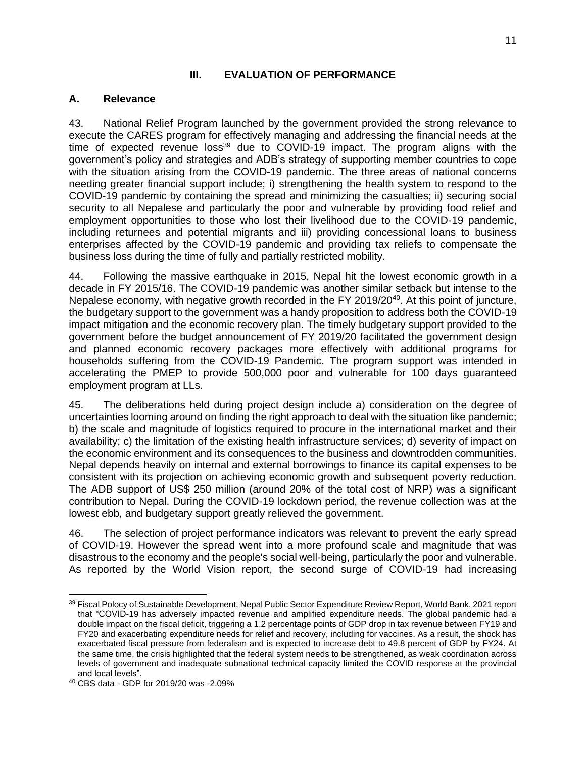## **III. EVALUATION OF PERFORMANCE**

### <span id="page-15-1"></span><span id="page-15-0"></span>**A. Relevance**

43. National Relief Program launched by the government provided the strong relevance to execute the CARES program for effectively managing and addressing the financial needs at the time of expected revenue  $loss^{39}$  due to COVID-19 impact. The program aligns with the government's policy and strategies and ADB's strategy of supporting member countries to cope with the situation arising from the COVID-19 pandemic. The three areas of national concerns needing greater financial support include; i) strengthening the health system to respond to the COVID-19 pandemic by containing the spread and minimizing the casualties; ii) securing social security to all Nepalese and particularly the poor and vulnerable by providing food relief and employment opportunities to those who lost their livelihood due to the COVID-19 pandemic, including returnees and potential migrants and iii) providing concessional loans to business enterprises affected by the COVID-19 pandemic and providing tax reliefs to compensate the business loss during the time of fully and partially restricted mobility.

44. Following the massive earthquake in 2015, Nepal hit the lowest economic growth in a decade in FY 2015/16. The COVID-19 pandemic was another similar setback but intense to the Nepalese economy, with negative growth recorded in the FY 2019/20<sup>40</sup>. At this point of juncture, the budgetary support to the government was a handy proposition to address both the COVID-19 impact mitigation and the economic recovery plan. The timely budgetary support provided to the government before the budget announcement of FY 2019/20 facilitated the government design and planned economic recovery packages more effectively with additional programs for households suffering from the COVID-19 Pandemic. The program support was intended in accelerating the PMEP to provide 500,000 poor and vulnerable for 100 days guaranteed employment program at LLs.

45. The deliberations held during project design include a) consideration on the degree of uncertainties looming around on finding the right approach to deal with the situation like pandemic; b) the scale and magnitude of logistics required to procure in the international market and their availability; c) the limitation of the existing health infrastructure services; d) severity of impact on the economic environment and its consequences to the business and downtrodden communities. Nepal depends heavily on internal and external borrowings to finance its capital expenses to be consistent with its projection on achieving economic growth and subsequent poverty reduction. The ADB support of US\$ 250 million (around 20% of the total cost of NRP) was a significant contribution to Nepal. During the COVID-19 lockdown period, the revenue collection was at the lowest ebb, and budgetary support greatly relieved the government.

46. The selection of project performance indicators was relevant to prevent the early spread of COVID-19. However the spread went into a more profound scale and magnitude that was disastrous to the economy and the people's social well-being, particularly the poor and vulnerable. As reported by the World Vision report, the second surge of COVID-19 had increasing

<sup>39</sup> Fiscal Polocy of Sustainable Development, Nepal Public Sector Expenditure Review Report, World Bank, 2021 report that "COVID-19 has adversely impacted revenue and amplified expenditure needs. The global pandemic had a double impact on the fiscal deficit, triggering a 1.2 percentage points of GDP drop in tax revenue between FY19 and FY20 and exacerbating expenditure needs for relief and recovery, including for vaccines. As a result, the shock has exacerbated fiscal pressure from federalism and is expected to increase debt to 49.8 percent of GDP by FY24. At the same time, the crisis highlighted that the federal system needs to be strengthened, as weak coordination across levels of government and inadequate subnational technical capacity limited the COVID response at the provincial and local levels".

<sup>40</sup> CBS data - GDP for 2019/20 was -2.09%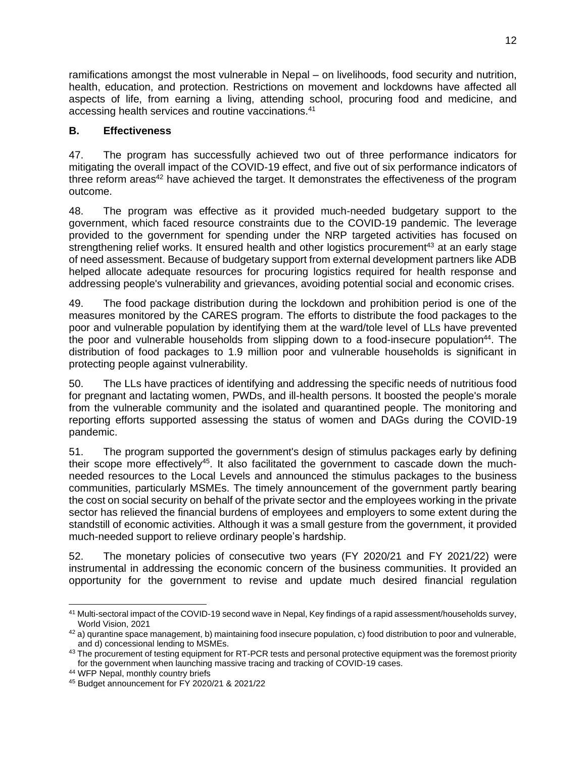ramifications amongst the most vulnerable in Nepal – on livelihoods, food security and nutrition, health, education, and protection. Restrictions on movement and lockdowns have affected all aspects of life, from earning a living, attending school, procuring food and medicine, and accessing health services and routine vaccinations.<sup>41</sup>

## <span id="page-16-0"></span>**B. Effectiveness**

47. The program has successfully achieved two out of three performance indicators for mitigating the overall impact of the COVID-19 effect, and five out of six performance indicators of three reform areas<sup>42</sup> have achieved the target. It demonstrates the effectiveness of the program outcome.

48. The program was effective as it provided much-needed budgetary support to the government, which faced resource constraints due to the COVID-19 pandemic. The leverage provided to the government for spending under the NRP targeted activities has focused on strengthening relief works. It ensured health and other logistics procurement<sup>43</sup> at an early stage of need assessment. Because of budgetary support from external development partners like ADB helped allocate adequate resources for procuring logistics required for health response and addressing people's vulnerability and grievances, avoiding potential social and economic crises.

49. The food package distribution during the lockdown and prohibition period is one of the measures monitored by the CARES program. The efforts to distribute the food packages to the poor and vulnerable population by identifying them at the ward/tole level of LLs have prevented the poor and vulnerable households from slipping down to a food-insecure population<sup>44</sup>. The distribution of food packages to 1.9 million poor and vulnerable households is significant in protecting people against vulnerability.

50. The LLs have practices of identifying and addressing the specific needs of nutritious food for pregnant and lactating women, PWDs, and ill-health persons. It boosted the people's morale from the vulnerable community and the isolated and quarantined people. The monitoring and reporting efforts supported assessing the status of women and DAGs during the COVID-19 pandemic.

51. The program supported the government's design of stimulus packages early by defining their scope more effectively<sup>45</sup>. It also facilitated the government to cascade down the muchneeded resources to the Local Levels and announced the stimulus packages to the business communities, particularly MSMEs. The timely announcement of the government partly bearing the cost on social security on behalf of the private sector and the employees working in the private sector has relieved the financial burdens of employees and employers to some extent during the standstill of economic activities. Although it was a small gesture from the government, it provided much-needed support to relieve ordinary people's hardship.

52. The monetary policies of consecutive two years (FY 2020/21 and FY 2021/22) were instrumental in addressing the economic concern of the business communities. It provided an opportunity for the government to revise and update much desired financial regulation

<sup>41</sup> Multi-sectoral impact of the COVID-19 second wave in Nepal, Key findings of a rapid assessment/households survey, World Vision, 2021

<sup>42</sup> a) qurantine space management, b) maintaining food insecure population, c) food distribution to poor and vulnerable, and d) concessional lending to MSMEs.

<sup>&</sup>lt;sup>43</sup> The procurement of testing equipment for RT-PCR tests and personal protective equipment was the foremost priority for the government when launching massive tracing and tracking of COVID-19 cases.

<sup>44</sup> WFP Nepal, monthly country briefs

<sup>45</sup> Budget announcement for FY 2020/21 & 2021/22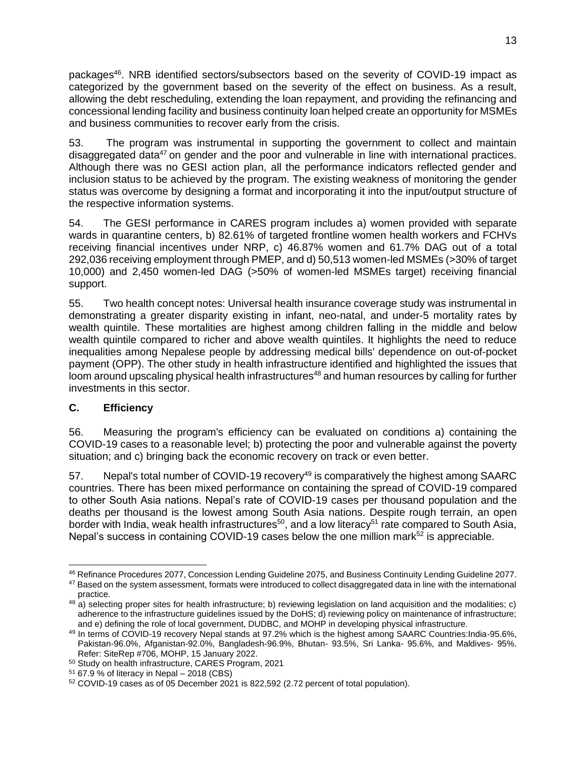packages<sup>46</sup>. NRB identified sectors/subsectors based on the severity of COVID-19 impact as categorized by the government based on the severity of the effect on business. As a result, allowing the debt rescheduling, extending the loan repayment, and providing the refinancing and concessional lending facility and business continuity loan helped create an opportunity for MSMEs and business communities to recover early from the crisis.

53. The program was instrumental in supporting the government to collect and maintain disaggregated data<sup>47</sup> on gender and the poor and vulnerable in line with international practices. Although there was no GESI action plan, all the performance indicators reflected gender and inclusion status to be achieved by the program. The existing weakness of monitoring the gender status was overcome by designing a format and incorporating it into the input/output structure of the respective information systems.

54. The GESI performance in CARES program includes a) women provided with separate wards in quarantine centers, b) 82.61% of targeted frontline women health workers and FCHVs receiving financial incentives under NRP, c) 46.87% women and 61.7% DAG out of a total 292,036 receiving employment through PMEP, and d) 50,513 women-led MSMEs (>30% of target 10,000) and 2,450 women-led DAG (>50% of women-led MSMEs target) receiving financial support.

55. Two health concept notes: Universal health insurance coverage study was instrumental in demonstrating a greater disparity existing in infant, neo-natal, and under-5 mortality rates by wealth quintile. These mortalities are highest among children falling in the middle and below wealth quintile compared to richer and above wealth quintiles. It highlights the need to reduce inequalities among Nepalese people by addressing medical bills' dependence on out-of-pocket payment (OPP). The other study in health infrastructure identified and highlighted the issues that loom around upscaling physical health infrastructures<sup>48</sup> and human resources by calling for further investments in this sector.

## <span id="page-17-0"></span>**C. Efficiency**

56. Measuring the program's efficiency can be evaluated on conditions a) containing the COVID-19 cases to a reasonable level; b) protecting the poor and vulnerable against the poverty situation; and c) bringing back the economic recovery on track or even better.

57. Nepal's total number of COVID-19 recovery<sup>49</sup> is comparatively the highest among SAARC countries. There has been mixed performance on containing the spread of COVID-19 compared to other South Asia nations. Nepal's rate of COVID-19 cases per thousand population and the deaths per thousand is the lowest among South Asia nations. Despite rough terrain, an open border with India, weak health infrastructures<sup>50</sup>, and a low literacy<sup>51</sup> rate compared to South Asia, Nepal's success in containing COVID-19 cases below the one million mark<sup>52</sup> is appreciable.

<sup>46</sup> Refinance Procedures 2077, Concession Lending Guideline 2075, and Business Continuity Lending Guideline 2077.

<sup>&</sup>lt;sup>47</sup> Based on the system assessment, formats were introduced to collect disaggregated data in line with the international practice.

 $48$  a) selecting proper sites for health infrastructure; b) reviewing legislation on land acquisition and the modalities; c) adherence to the infrastructure guidelines issued by the DoHS; d) reviewing policy on maintenance of infrastructure; and e) defining the role of local government, DUDBC, and MOHP in developing physical infrastructure.

<sup>49</sup> In terms of COVID-19 recovery Nepal stands at 97.2% which is the highest among SAARC Countries:India-95.6%, Pakistan-96.0%, Afganistan-92.0%, Bangladesh-96.9%, Bhutan- 93.5%, Sri Lanka- 95.6%, and Maldives- 95%. Refer: SiteRep #706, MOHP, 15 January 2022.

<sup>50</sup> Study on health infrastructure, CARES Program, 2021

 $51$  67.9 % of literacy in Nepal – 2018 (CBS)

<sup>52</sup> COVID-19 cases as of 05 December 2021 is 822,592 (2.72 percent of total population).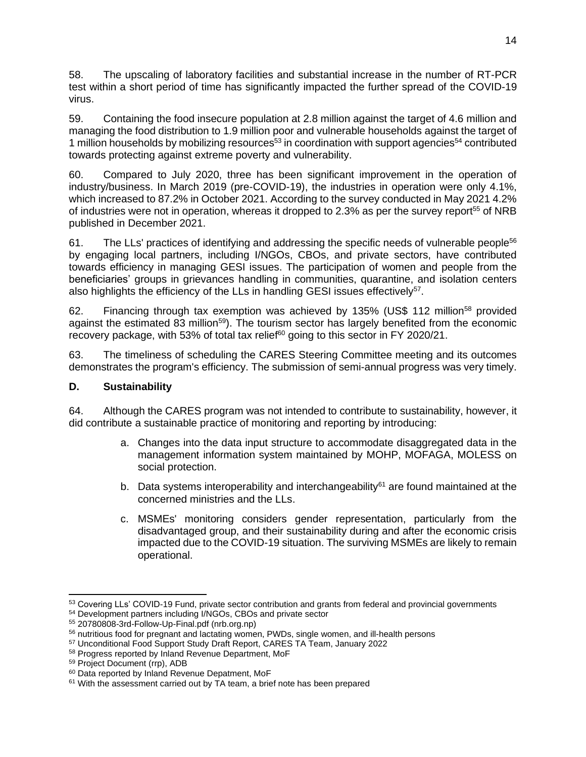58. The upscaling of laboratory facilities and substantial increase in the number of RT-PCR test within a short period of time has significantly impacted the further spread of the COVID-19 virus.

59. Containing the food insecure population at 2.8 million against the target of 4.6 million and managing the food distribution to 1.9 million poor and vulnerable households against the target of 1 million households by mobilizing resources<sup>53</sup> in coordination with support agencies<sup>54</sup> contributed towards protecting against extreme poverty and vulnerability.

60. Compared to July 2020, three has been significant improvement in the operation of industry/business. In March 2019 (pre-COVID-19), the industries in operation were only 4.1%, which increased to 87.2% in October 2021. According to the survey conducted in May 2021 4.2% of industries were not in operation, whereas it dropped to 2.3% as per the survey report<sup>55</sup> of NRB published in December 2021.

61. The LLs' practices of identifying and addressing the specific needs of vulnerable people<sup>56</sup> by engaging local partners, including I/NGOs, CBOs, and private sectors, have contributed towards efficiency in managing GESI issues. The participation of women and people from the beneficiaries' groups in grievances handling in communities, quarantine, and isolation centers also highlights the efficiency of the LLs in handling GESI issues effectively<sup>57</sup>.

62. Financing through tax exemption was achieved by 135% (US\$ 112 million<sup>58</sup> provided against the estimated 83 million<sup>59</sup>). The tourism sector has largely benefited from the economic recovery package, with 53% of total tax relief<sup>60</sup> going to this sector in FY 2020/21.

63. The timeliness of scheduling the CARES Steering Committee meeting and its outcomes demonstrates the program's efficiency. The submission of semi-annual progress was very timely.

#### <span id="page-18-0"></span>**D. Sustainability**

64. Although the CARES program was not intended to contribute to sustainability, however, it did contribute a sustainable practice of monitoring and reporting by introducing:

- a. Changes into the data input structure to accommodate disaggregated data in the management information system maintained by MOHP, MOFAGA, MOLESS on social protection.
- b. Data systems interoperability and interchangeability<sup>61</sup> are found maintained at the concerned ministries and the LLs.
- c. MSMEs' monitoring considers gender representation, particularly from the disadvantaged group, and their sustainability during and after the economic crisis impacted due to the COVID-19 situation. The surviving MSMEs are likely to remain operational.

<sup>53</sup> Covering LLs' COVID-19 Fund, private sector contribution and grants from federal and provincial governments

<sup>54</sup> Development partners including I/NGOs, CBOs and private sector

<sup>55</sup> [20780808-3rd-Follow-Up-Final.pdf \(nrb.org.np\)](https://www.nrb.org.np/contents/uploads/2021/11/20780808-3rd-Follow-Up-Final.pdf)

<sup>56</sup> nutritious food for pregnant and lactating women, PWDs, single women, and ill-health persons

<sup>57</sup> Unconditional Food Support Study Draft Report, CARES TA Team, January 2022

<sup>58</sup> Progress reported by Inland Revenue Department, MoF

<sup>59</sup> Project Document (rrp), ADB

<sup>60</sup> Data reported by Inland Revenue Depatment, MoF

<sup>&</sup>lt;sup>61</sup> With the assessment carried out by TA team, a brief note has been prepared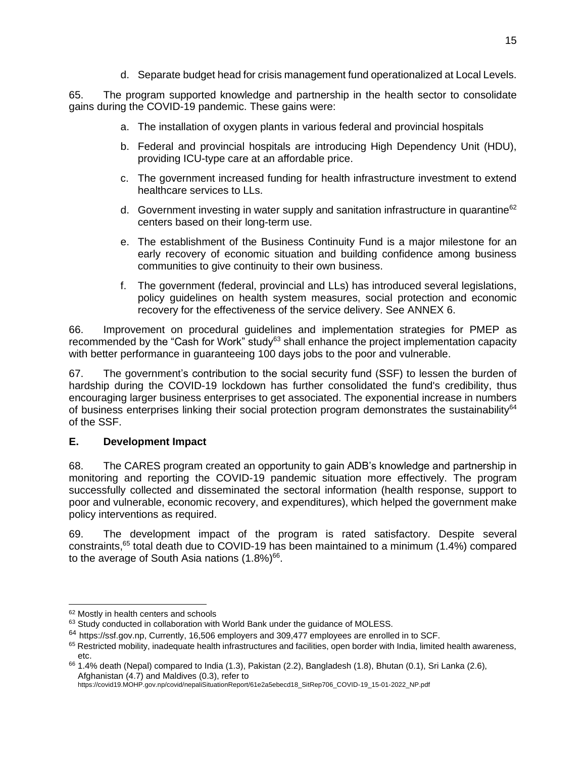d. Separate budget head for crisis management fund operationalized at Local Levels.

65. The program supported knowledge and partnership in the health sector to consolidate gains during the COVID-19 pandemic. These gains were:

- a. The installation of oxygen plants in various federal and provincial hospitals
- b. Federal and provincial hospitals are introducing High Dependency Unit (HDU), providing ICU-type care at an affordable price.
- c. The government increased funding for health infrastructure investment to extend healthcare services to LLs.
- d. Government investing in water supply and sanitation infrastructure in quarantine $62$ centers based on their long-term use.
- e. The establishment of the Business Continuity Fund is a major milestone for an early recovery of economic situation and building confidence among business communities to give continuity to their own business.
- f. The government (federal, provincial and LLs) has introduced several legislations, policy guidelines on health system measures, social protection and economic recovery for the effectiveness of the service delivery. See ANNEX 6.

66. Improvement on procedural guidelines and implementation strategies for PMEP as recommended by the "Cash for Work" study<sup>63</sup> shall enhance the project implementation capacity with better performance in guaranteeing 100 days jobs to the poor and vulnerable.

67. The government's contribution to the social security fund (SSF) to lessen the burden of hardship during the COVID-19 lockdown has further consolidated the fund's credibility, thus encouraging larger business enterprises to get associated. The exponential increase in numbers of business enterprises linking their social protection program demonstrates the sustainability<sup>64</sup> of the SSF.

#### <span id="page-19-0"></span>**E. Development Impact**

68. The CARES program created an opportunity to gain ADB's knowledge and partnership in monitoring and reporting the COVID-19 pandemic situation more effectively. The program successfully collected and disseminated the sectoral information (health response, support to poor and vulnerable, economic recovery, and expenditures), which helped the government make policy interventions as required.

69. The development impact of the program is rated satisfactory. Despite several constraints, <sup>65</sup> total death due to COVID-19 has been maintained to a minimum (1.4%) compared to the average of South Asia nations  $(1.8\%)^{66}$ .

<sup>62</sup> Mostly in health centers and schools

<sup>63</sup> Study conducted in collaboration with World Bank under the guidance of MOLESS.

<sup>&</sup>lt;sup>64</sup> [https://ssf.gov.np,](https://ssf.gov.np/) Currently, 16,506 employers and 309,477 employees are enrolled in to SCF.

<sup>65</sup> Restricted mobility, inadequate health infrastructures and facilities, open border with India, limited health awareness, etc.

<sup>66</sup> 1.4% death (Nepal) compared to India (1.3), Pakistan (2.2), Bangladesh (1.8), Bhutan (0.1), Sri Lanka (2.6), Afghanistan (4.7) and Maldives (0.3), refer to

https://covid19.MOHP.gov.np/covid/nepaliSituationReport/61e2a5ebecd18\_SitRep706\_COVID-19\_15-01-2022\_NP.pdf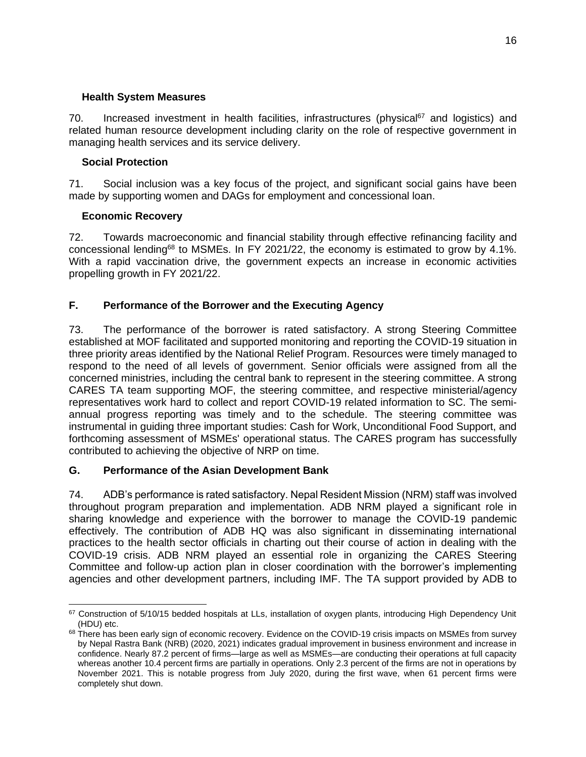#### **Health System Measures**

70. Increased investment in health facilities, infrastructures (physical<sup>67</sup> and logistics) and related human resource development including clarity on the role of respective government in managing health services and its service delivery.

#### **Social Protection**

71. Social inclusion was a key focus of the project, and significant social gains have been made by supporting women and DAGs for employment and concessional loan.

#### **Economic Recovery**

72. Towards macroeconomic and financial stability through effective refinancing facility and concessional lending<sup>68</sup> to MSMEs. In FY 2021/22, the economy is estimated to grow by 4.1%. With a rapid vaccination drive, the government expects an increase in economic activities propelling growth in FY 2021/22.

## <span id="page-20-0"></span>**F. Performance of the Borrower and the Executing Agency**

73. The performance of the borrower is rated satisfactory. A strong Steering Committee established at MOF facilitated and supported monitoring and reporting the COVID-19 situation in three priority areas identified by the National Relief Program. Resources were timely managed to respond to the need of all levels of government. Senior officials were assigned from all the concerned ministries, including the central bank to represent in the steering committee. A strong CARES TA team supporting MOF, the steering committee, and respective ministerial/agency representatives work hard to collect and report COVID-19 related information to SC. The semiannual progress reporting was timely and to the schedule. The steering committee was instrumental in guiding three important studies: Cash for Work, Unconditional Food Support, and forthcoming assessment of MSMEs' operational status. The CARES program has successfully contributed to achieving the objective of NRP on time.

#### <span id="page-20-1"></span>**G. Performance of the Asian Development Bank**

74. ADB's performance is rated satisfactory. Nepal Resident Mission (NRM) staff was involved throughout program preparation and implementation. ADB NRM played a significant role in sharing knowledge and experience with the borrower to manage the COVID-19 pandemic effectively. The contribution of ADB HQ was also significant in disseminating international practices to the health sector officials in charting out their course of action in dealing with the COVID-19 crisis. ADB NRM played an essential role in organizing the CARES Steering Committee and follow-up action plan in closer coordination with the borrower's implementing agencies and other development partners, including IMF. The TA support provided by ADB to

<sup>67</sup> Construction of 5/10/15 bedded hospitals at LLs, installation of oxygen plants, introducing High Dependency Unit (HDU) etc.

<sup>68</sup> There has been early sign of economic recovery. Evidence on the COVID-19 crisis impacts on MSMEs from survey by Nepal Rastra Bank (NRB) (2020, 2021) indicates gradual improvement in business environment and increase in confidence. Nearly 87.2 percent of firms—large as well as MSMEs—are conducting their operations at full capacity whereas another 10.4 percent firms are partially in operations. Only 2.3 percent of the firms are not in operations by November 2021. This is notable progress from July 2020, during the first wave, when 61 percent firms were completely shut down.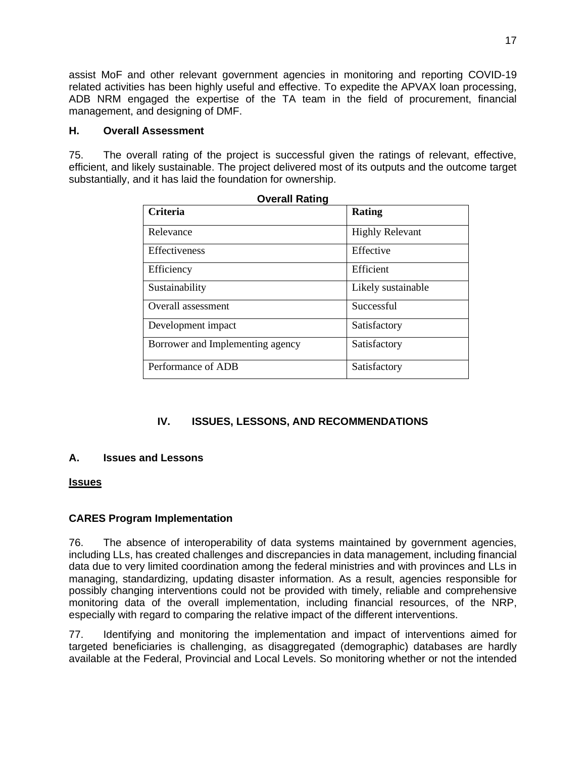assist MoF and other relevant government agencies in monitoring and reporting COVID-19 related activities has been highly useful and effective. To expedite the APVAX loan processing, ADB NRM engaged the expertise of the TA team in the field of procurement, financial management, and designing of DMF.

#### <span id="page-21-0"></span>**H. Overall Assessment**

75. The overall rating of the project is successful given the ratings of relevant, effective, efficient, and likely sustainable. The project delivered most of its outputs and the outcome target substantially, and it has laid the foundation for ownership.

| <b>Overall Rating</b><br><b>Criteria</b> | Rating                 |
|------------------------------------------|------------------------|
|                                          |                        |
| Relevance                                | <b>Highly Relevant</b> |
| Effectiveness                            | Effective              |
| Efficiency                               | Efficient              |
| Sustainability                           | Likely sustainable     |
| Overall assessment                       | Successful             |
| Development impact                       | Satisfactory           |
| Borrower and Implementing agency         | Satisfactory           |
| Performance of ADB                       | Satisfactory           |

## **IV. ISSUES, LESSONS, AND RECOMMENDATIONS**

#### <span id="page-21-2"></span><span id="page-21-1"></span>**A. Issues and Lessons**

#### **Issues**

#### **CARES Program Implementation**

76. The absence of interoperability of data systems maintained by government agencies, including LLs, has created challenges and discrepancies in data management, including financial data due to very limited coordination among the federal ministries and with provinces and LLs in managing, standardizing, updating disaster information. As a result, agencies responsible for possibly changing interventions could not be provided with timely, reliable and comprehensive monitoring data of the overall implementation, including financial resources, of the NRP, especially with regard to comparing the relative impact of the different interventions.

77. Identifying and monitoring the implementation and impact of interventions aimed for targeted beneficiaries is challenging, as disaggregated (demographic) databases are hardly available at the Federal, Provincial and Local Levels. So monitoring whether or not the intended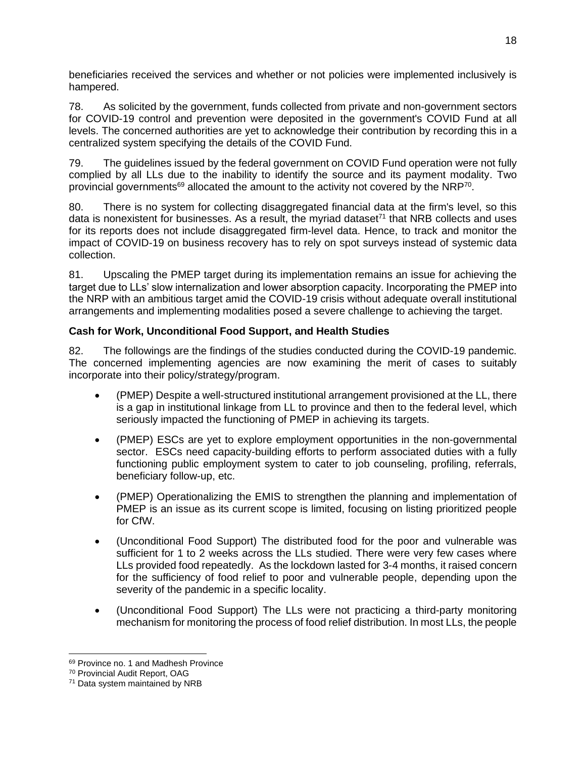beneficiaries received the services and whether or not policies were implemented inclusively is hampered.

78. As solicited by the government, funds collected from private and non-government sectors for COVID-19 control and prevention were deposited in the government's COVID Fund at all levels. The concerned authorities are yet to acknowledge their contribution by recording this in a centralized system specifying the details of the COVID Fund.

79. The guidelines issued by the federal government on COVID Fund operation were not fully complied by all LLs due to the inability to identify the source and its payment modality. Two provincial governments<sup>69</sup> allocated the amount to the activity not covered by the NRP<sup>70</sup>.

80. There is no system for collecting disaggregated financial data at the firm's level, so this data is nonexistent for businesses. As a result, the myriad dataset<sup> $71$ </sup> that NRB collects and uses for its reports does not include disaggregated firm-level data. Hence, to track and monitor the impact of COVID-19 on business recovery has to rely on spot surveys instead of systemic data collection.

81. Upscaling the PMEP target during its implementation remains an issue for achieving the target due to LLs' slow internalization and lower absorption capacity. Incorporating the PMEP into the NRP with an ambitious target amid the COVID-19 crisis without adequate overall institutional arrangements and implementing modalities posed a severe challenge to achieving the target.

## **Cash for Work, Unconditional Food Support, and Health Studies**

82. The followings are the findings of the studies conducted during the COVID-19 pandemic. The concerned implementing agencies are now examining the merit of cases to suitably incorporate into their policy/strategy/program.

- (PMEP) Despite a well-structured institutional arrangement provisioned at the LL, there is a gap in institutional linkage from LL to province and then to the federal level, which seriously impacted the functioning of PMEP in achieving its targets.
- (PMEP) ESCs are yet to explore employment opportunities in the non-governmental sector. ESCs need capacity-building efforts to perform associated duties with a fully functioning public employment system to cater to job counseling, profiling, referrals, beneficiary follow-up, etc.
- (PMEP) Operationalizing the EMIS to strengthen the planning and implementation of PMEP is an issue as its current scope is limited, focusing on listing prioritized people for CfW.
- (Unconditional Food Support) The distributed food for the poor and vulnerable was sufficient for 1 to 2 weeks across the LLs studied. There were very few cases where LLs provided food repeatedly. As the lockdown lasted for 3-4 months, it raised concern for the sufficiency of food relief to poor and vulnerable people, depending upon the severity of the pandemic in a specific locality.
- (Unconditional Food Support) The LLs were not practicing a third-party monitoring mechanism for monitoring the process of food relief distribution. In most LLs, the people

<sup>&</sup>lt;sup>69</sup> Province no. 1 and Madhesh Province

<sup>70</sup> Provincial Audit Report, OAG

<sup>71</sup> Data system maintained by NRB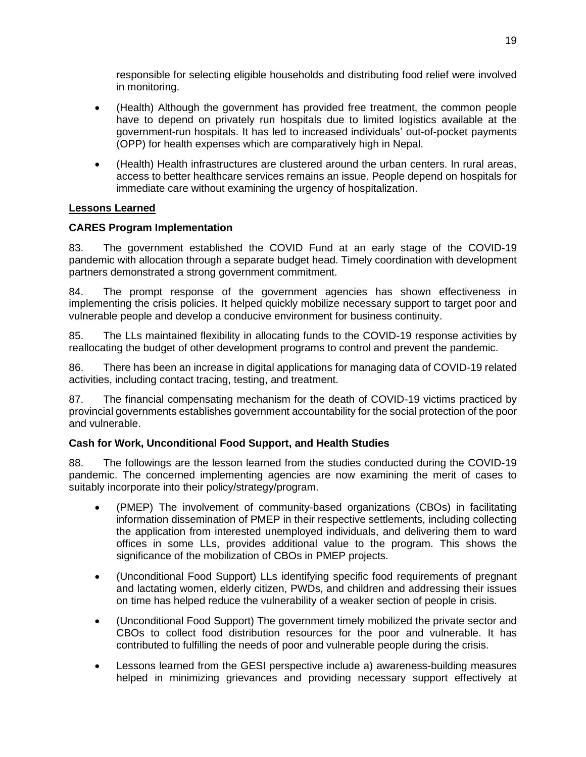responsible for selecting eligible households and distributing food relief were involved in monitoring.

- (Health) Although the government has provided free treatment, the common people have to depend on privately run hospitals due to limited logistics available at the government-run hospitals. It has led to increased individuals' out-of-pocket payments (OPP) for health expenses which are comparatively high in Nepal.
- (Health) Health infrastructures are clustered around the urban centers. In rural areas, access to better healthcare services remains an issue. People depend on hospitals for immediate care without examining the urgency of hospitalization.

## **Lessons Learned**

## **CARES Program Implementation**

83. The government established the COVID Fund at an early stage of the COVID-19 pandemic with allocation through a separate budget head. Timely coordination with development partners demonstrated a strong government commitment.

84. The prompt response of the government agencies has shown effectiveness in implementing the crisis policies. It helped quickly mobilize necessary support to target poor and vulnerable people and develop a conducive environment for business continuity.

85. The LLs maintained flexibility in allocating funds to the COVID-19 response activities by reallocating the budget of other development programs to control and prevent the pandemic.

86. There has been an increase in digital applications for managing data of COVID-19 related activities, including contact tracing, testing, and treatment.

87. The financial compensating mechanism for the death of COVID-19 victims practiced by provincial governments establishes government accountability for the social protection of the poor and vulnerable.

#### **Cash for Work, Unconditional Food Support, and Health Studies**

88. The followings are the lesson learned from the studies conducted during the COVID-19 pandemic. The concerned implementing agencies are now examining the merit of cases to suitably incorporate into their policy/strategy/program.

- (PMEP) The involvement of community-based organizations (CBOs) in facilitating information dissemination of PMEP in their respective settlements, including collecting the application from interested unemployed individuals, and delivering them to ward offices in some LLs, provides additional value to the program. This shows the significance of the mobilization of CBOs in PMEP projects.
- (Unconditional Food Support) LLs identifying specific food requirements of pregnant and lactating women, elderly citizen, PWDs, and children and addressing their issues on time has helped reduce the vulnerability of a weaker section of people in crisis.
- (Unconditional Food Support) The government timely mobilized the private sector and CBOs to collect food distribution resources for the poor and vulnerable. It has contributed to fulfilling the needs of poor and vulnerable people during the crisis.
- Lessons learned from the GESI perspective include a) awareness-building measures helped in minimizing grievances and providing necessary support effectively at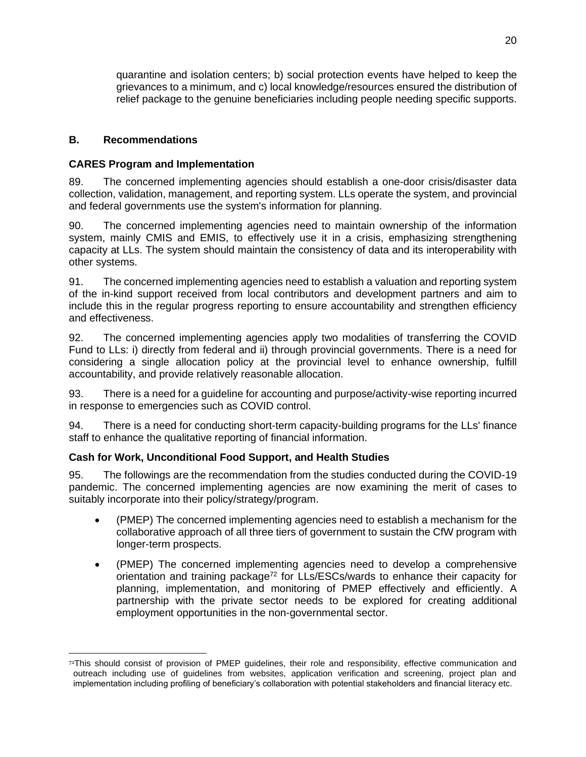quarantine and isolation centers; b) social protection events have helped to keep the grievances to a minimum, and c) local knowledge/resources ensured the distribution of relief package to the genuine beneficiaries including people needing specific supports.

## <span id="page-24-0"></span>**B. Recommendations**

## **CARES Program and Implementation**

89. The concerned implementing agencies should establish a one-door crisis/disaster data collection, validation, management, and reporting system. LLs operate the system, and provincial and federal governments use the system's information for planning.

90. The concerned implementing agencies need to maintain ownership of the information system, mainly CMIS and EMIS, to effectively use it in a crisis, emphasizing strengthening capacity at LLs. The system should maintain the consistency of data and its interoperability with other systems.

91. The concerned implementing agencies need to establish a valuation and reporting system of the in-kind support received from local contributors and development partners and aim to include this in the regular progress reporting to ensure accountability and strengthen efficiency and effectiveness.

92. The concerned implementing agencies apply two modalities of transferring the COVID Fund to LLs: i) directly from federal and ii) through provincial governments. There is a need for considering a single allocation policy at the provincial level to enhance ownership, fulfill accountability, and provide relatively reasonable allocation.

93. There is a need for a guideline for accounting and purpose/activity-wise reporting incurred in response to emergencies such as COVID control.

94. There is a need for conducting short-term capacity-building programs for the LLs' finance staff to enhance the qualitative reporting of financial information.

## **Cash for Work, Unconditional Food Support, and Health Studies**

95. The followings are the recommendation from the studies conducted during the COVID-19 pandemic. The concerned implementing agencies are now examining the merit of cases to suitably incorporate into their policy/strategy/program.

- (PMEP) The concerned implementing agencies need to establish a mechanism for the collaborative approach of all three tiers of government to sustain the CfW program with longer-term prospects.
- (PMEP) The concerned implementing agencies need to develop a comprehensive orientation and training package<sup>72</sup> for LLs/ESCs/wards to enhance their capacity for planning, implementation, and monitoring of PMEP effectively and efficiently. A partnership with the private sector needs to be explored for creating additional employment opportunities in the non-governmental sector.

<sup>72</sup>This should consist of provision of PMEP guidelines, their role and responsibility, effective communication and outreach including use of guidelines from websites, application verification and screening, project plan and implementation including profiling of beneficiary's collaboration with potential stakeholders and financial literacy etc.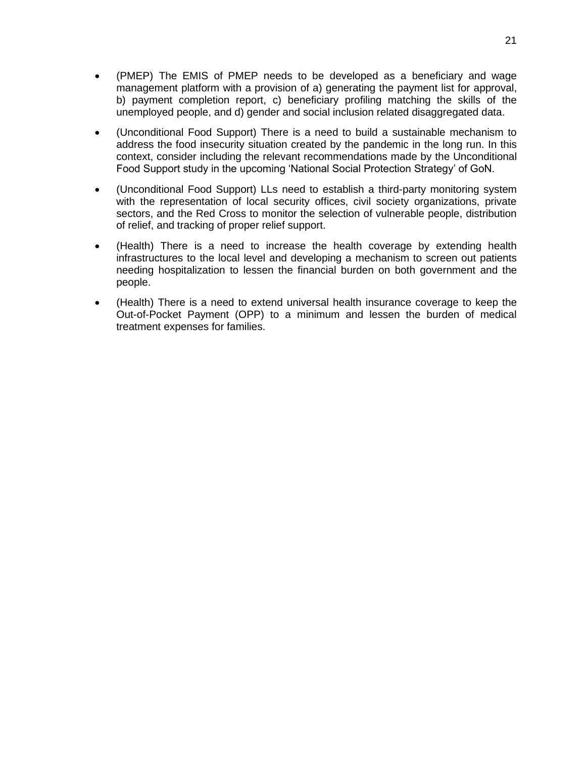- (PMEP) The EMIS of PMEP needs to be developed as a beneficiary and wage management platform with a provision of a) generating the payment list for approval, b) payment completion report, c) beneficiary profiling matching the skills of the unemployed people, and d) gender and social inclusion related disaggregated data.
- (Unconditional Food Support) There is a need to build a sustainable mechanism to address the food insecurity situation created by the pandemic in the long run. In this context, consider including the relevant recommendations made by the Unconditional Food Support study in the upcoming 'National Social Protection Strategy' of GoN.
- (Unconditional Food Support) LLs need to establish a third-party monitoring system with the representation of local security offices, civil society organizations, private sectors, and the Red Cross to monitor the selection of vulnerable people, distribution of relief, and tracking of proper relief support.
- (Health) There is a need to increase the health coverage by extending health infrastructures to the local level and developing a mechanism to screen out patients needing hospitalization to lessen the financial burden on both government and the people.
- (Health) There is a need to extend universal health insurance coverage to keep the Out-of-Pocket Payment (OPP) to a minimum and lessen the burden of medical treatment expenses for families.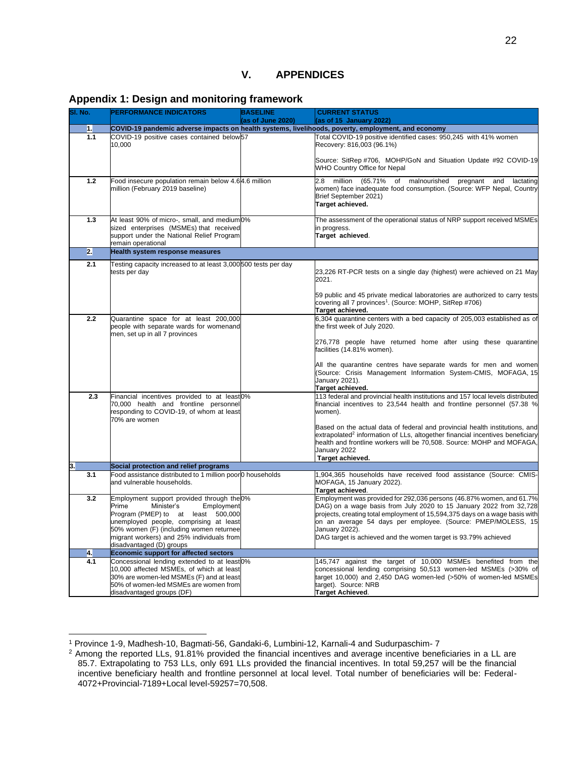#### <span id="page-26-1"></span><span id="page-26-0"></span>**Appendix 1: Design and monitoring framework**

| SI. No. | <b>PERFORMANCE INDICATORS</b>                                                                                                                                                                                                                                                       | <b>BASELINE</b><br>(as of June 2020) | <b>CURRENT STATUS</b><br>(as of 15 January 2022)                                                                                                                                                                                                                                                                                                                              |
|---------|-------------------------------------------------------------------------------------------------------------------------------------------------------------------------------------------------------------------------------------------------------------------------------------|--------------------------------------|-------------------------------------------------------------------------------------------------------------------------------------------------------------------------------------------------------------------------------------------------------------------------------------------------------------------------------------------------------------------------------|
| 1.      |                                                                                                                                                                                                                                                                                     |                                      | COVID-19 pandemic adverse impacts on health systems, livelihoods, poverty, employment, and economy                                                                                                                                                                                                                                                                            |
| 1.1     | COVID-19 positive cases contained below57<br>10.000                                                                                                                                                                                                                                 |                                      | Total COVID-19 positive identified cases: 950,245 with 41% women<br>Recovery: 816,003 (96.1%)<br>Source: SitRep #706, MOHP/GoN and Situation Update #92 COVID-19<br>WHO Country Office for Nepal                                                                                                                                                                              |
| 1.2     | Food insecure population remain below 4.64.6 million<br>million (February 2019 baseline)                                                                                                                                                                                            |                                      | (65.71%<br>million<br>2.8<br>of malnourished<br>pregnant<br>and<br>lactating<br>women) face inadequate food consumption. (Source: WFP Nepal, Country<br>Brief September 2021)<br>Target achieved.                                                                                                                                                                             |
| 1.3     | At least 90% of micro-, small, and medium0%<br>sized enterprises (MSMEs) that received<br>support under the National Relief Program<br>remain operational                                                                                                                           |                                      | The assessment of the operational status of NRP support received MSMEs<br>in progress.<br>Target achieved.                                                                                                                                                                                                                                                                    |
| 2.      | Health system response measures                                                                                                                                                                                                                                                     |                                      |                                                                                                                                                                                                                                                                                                                                                                               |
| 2.1     | Testing capacity increased to at least 3,000500 tests per day<br>tests per day                                                                                                                                                                                                      |                                      | 23,226 RT-PCR tests on a single day (highest) were achieved on 21 May<br>2021.<br>59 public and 45 private medical laboratories are authorized to carry tests                                                                                                                                                                                                                 |
|         |                                                                                                                                                                                                                                                                                     |                                      | covering all 7 provinces <sup>1</sup> . (Source: MOHP, SitRep #706)<br>Target achieved.                                                                                                                                                                                                                                                                                       |
| 2.2     | Quarantine space for at least 200,000<br>people with separate wards for womenand<br>men, set up in all 7 provinces                                                                                                                                                                  |                                      | 6,304 quarantine centers with a bed capacity of 205,003 established as of<br>the first week of July 2020.                                                                                                                                                                                                                                                                     |
|         |                                                                                                                                                                                                                                                                                     |                                      | 276,778 people have returned home after using these quarantine<br>facilities (14.81% women).                                                                                                                                                                                                                                                                                  |
|         |                                                                                                                                                                                                                                                                                     |                                      | All the quarantine centres have separate wards for men and women<br>(Source: Crisis Management Information System-CMIS, MOFAGA, 15<br>January 2021).<br>Target achieved.                                                                                                                                                                                                      |
| 2.3     | Financial incentives provided to at least0%<br>70,000 health and frontline personnel<br>responding to COVID-19, of whom at least<br>70% are women                                                                                                                                   |                                      | 113 federal and provincial health institutions and 157 local levels distributed<br>financial incentives to 23,544 health and frontline personnel (57.38 %<br>women).                                                                                                                                                                                                          |
|         |                                                                                                                                                                                                                                                                                     |                                      | Based on the actual data of federal and provincial health institutions, and<br>extrapolated <sup>2</sup> information of LLs, altogether financial incentives beneficiary<br>health and frontline workers will be 70,508. Source: MOHP and MOFAGA,<br>January 2022<br>Target achieved.                                                                                         |
| 3.      | Social protection and relief programs                                                                                                                                                                                                                                               |                                      |                                                                                                                                                                                                                                                                                                                                                                               |
| 3.1     | Food assistance distributed to 1 million poor 0 households<br>and vulnerable households.                                                                                                                                                                                            |                                      | 1,904,365 households have received food assistance (Source: CMIS-<br>MOFAGA, 15 January 2022).<br>Target achieved.                                                                                                                                                                                                                                                            |
| 3.2     | Employment support provided through the 0%<br>Prime<br>Minister's<br>Employment<br>Program (PMEP) to at least 500,000<br>unemployed people, comprising at least<br>50% women (F) (including women returnee<br>migrant workers) and 25% individuals from<br>disadvantaged (D) groups |                                      | Employment was provided for 292,036 persons (46.87% women, and 61.7%<br>DAG) on a wage basis from July 2020 to 15 January 2022 from 32,728<br>projects, creating total employment of 15,594,375 days on a wage basis with<br>on an average 54 days per employee. (Source: PMEP/MOLESS, 15<br>January 2022).<br>DAG target is achieved and the women target is 93.79% achieved |
| 4.      | <b>Economic support for affected sectors</b>                                                                                                                                                                                                                                        |                                      |                                                                                                                                                                                                                                                                                                                                                                               |
| 4.1     | Concessional lending extended to at least0%<br>10,000 affected MSMEs, of which at least<br>30% are women-led MSMEs (F) and at least<br>50% of women-led MSMEs are women from<br>disadvantaged groups (DF)                                                                           |                                      | 145,747 against the target of 10,000 MSMEs benefited from the<br>concessional lending comprising 50,513 women-led MSMEs (>30% of<br>target 10,000) and 2,450 DAG women-led (>50% of women-led MSMEs<br>target). Source: NRB<br><b>Target Achieved.</b>                                                                                                                        |

<sup>1</sup> Province 1-9, Madhesh-10, Bagmati-56, Gandaki-6, Lumbini-12, Karnali-4 and Sudurpaschim- 7

<sup>&</sup>lt;sup>2</sup> Among the reported LLs, 91.81% provided the financial incentives and average incentive beneficiaries in a LL are 85.7. Extrapolating to 753 LLs, only 691 LLs provided the financial incentives. In total 59,257 will be the financial incentive beneficiary health and frontline personnel at local level. Total number of beneficiaries will be: Federal-4072+Provincial-7189+Local level-59257=70,508.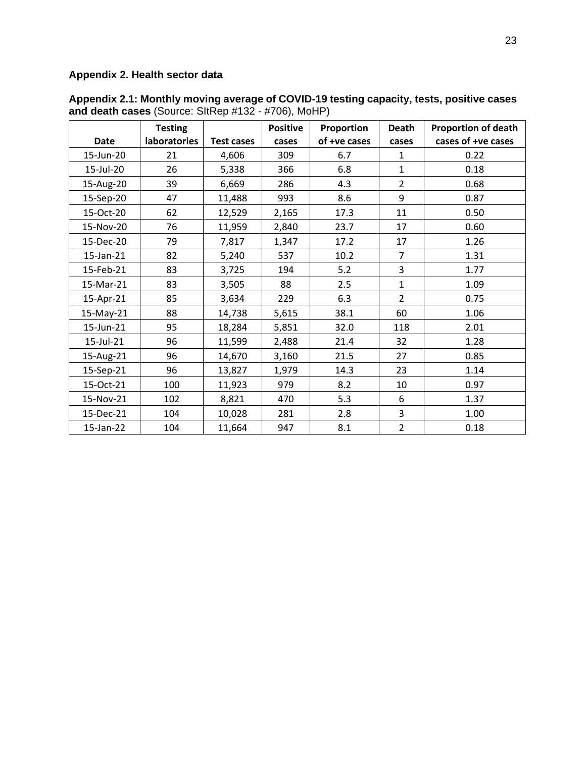## <span id="page-27-0"></span>**Appendix 2. Health sector data**

|             | <b>Testing</b> |                   | <b>Positive</b> | Proportion   | <b>Death</b>   | <b>Proportion of death</b> |
|-------------|----------------|-------------------|-----------------|--------------|----------------|----------------------------|
| <b>Date</b> | laboratories   | <b>Test cases</b> | cases           | of +ve cases | cases          | cases of +ve cases         |
| 15-Jun-20   | 21             | 4,606             | 309             | 6.7          | $\mathbf{1}$   | 0.22                       |
| 15-Jul-20   | 26             | 5,338             | 366             | 6.8          | $\mathbf{1}$   | 0.18                       |
| 15-Aug-20   | 39             | 6,669             | 286             | 4.3          | $\overline{2}$ | 0.68                       |
| 15-Sep-20   | 47             | 11,488            | 993             | 8.6          | 9              | 0.87                       |
| 15-Oct-20   | 62             | 12,529            | 2,165           | 17.3         | 11             | 0.50                       |
| 15-Nov-20   | 76             | 11,959            | 2,840           | 23.7         | 17             | 0.60                       |
| 15-Dec-20   | 79             | 7,817             | 1,347           | 17.2         | 17             | 1.26                       |
| 15-Jan-21   | 82             | 5,240             | 537             | 10.2         | $\overline{7}$ | 1.31                       |
| 15-Feb-21   | 83             | 3,725             | 194             | 5.2          | 3              | 1.77                       |
| 15-Mar-21   | 83             | 3,505             | 88              | 2.5          | $\mathbf{1}$   | 1.09                       |
| 15-Apr-21   | 85             | 3,634             | 229             | 6.3          | $\overline{2}$ | 0.75                       |
| 15-May-21   | 88             | 14,738            | 5,615           | 38.1         | 60             | 1.06                       |
| 15-Jun-21   | 95             | 18,284            | 5,851           | 32.0         | 118            | 2.01                       |
| 15-Jul-21   | 96             | 11,599            | 2,488           | 21.4         | 32             | 1.28                       |
| 15-Aug-21   | 96             | 14,670            | 3,160           | 21.5         | 27             | 0.85                       |
| 15-Sep-21   | 96             | 13,827            | 1,979           | 14.3         | 23             | 1.14                       |
| 15-Oct-21   | 100            | 11,923            | 979             | 8.2          | 10             | 0.97                       |
| 15-Nov-21   | 102            | 8,821             | 470             | 5.3          | 6              | 1.37                       |
| 15-Dec-21   | 104            | 10,028            | 281             | 2.8          | 3              | 1.00                       |
| 15-Jan-22   | 104            | 11,664            | 947             | 8.1          | $\overline{2}$ | 0.18                       |

**Appendix 2.1: Monthly moving average of COVID-19 testing capacity, tests, positive cases and death cases** (Source: SItRep #132 - #706), MoHP)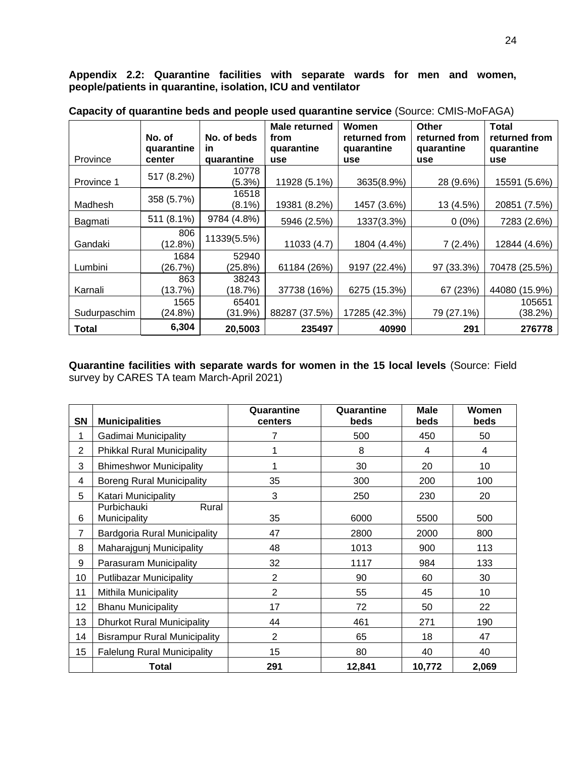**Appendix 2.2: Quarantine facilities with separate wards for men and women, people/patients in quarantine, isolation, ICU and ventilator**

|              | No. of     | No. of beds | Male returned<br>from | Women<br>returned from | <b>Other</b><br>returned from | <b>Total</b><br>returned from |
|--------------|------------|-------------|-----------------------|------------------------|-------------------------------|-------------------------------|
|              | quarantine | <u>in</u>   | quarantine            | quarantine             | quarantine                    | quarantine                    |
| Province     | center     | quarantine  | use                   | use                    | use                           | use                           |
|              | 517 (8.2%) | 10778       |                       |                        |                               |                               |
| Province 1   |            | (5.3%)      | 11928 (5.1%)          | 3635(8.9%)             | 28 (9.6%)                     | 15591 (5.6%)                  |
|              | 358 (5.7%) | 16518       |                       |                        |                               |                               |
| Madhesh      |            | $(8.1\%)$   | 19381 (8.2%)          | 1457 (3.6%)            | 13 (4.5%)                     | 20851 (7.5%)                  |
| Bagmati      | 511 (8.1%) | 9784 (4.8%) | 5946 (2.5%)           | 1337(3.3%)             | $0(0\%)$                      | 7283 (2.6%)                   |
|              | 806        | 11339(5.5%) |                       |                        |                               |                               |
| Gandaki      | (12.8%)    |             | 11033 (4.7)           | 1804 (4.4%)            | 7(2.4%)                       | 12844 (4.6%)                  |
|              | 1684       | 52940       |                       |                        |                               |                               |
| Lumbini      | (26.7%)    | (25.8%)     | 61184 (26%)           | 9197 (22.4%)           | 97 (33.3%)                    | 70478 (25.5%)                 |
|              | 863        | 38243       |                       |                        |                               |                               |
| Karnali      | (13.7%)    | (18.7%)     | 37738 (16%)           | 6275 (15.3%)           | 67 (23%)                      | 44080 (15.9%)                 |
|              | 1565       | 65401       |                       |                        |                               | 105651                        |
| Sudurpaschim | (24.8%)    | (31.9%)     | 88287 (37.5%)         | 17285 (42.3%)          | 79 (27.1%)                    | (38.2%)                       |
| <b>Total</b> | 6,304      | 20,5003     | 235497                | 40990                  | 291                           | 276778                        |

**Capacity of quarantine beds and people used quarantine service** (Source: CMIS-MoFAGA)

**Quarantine facilities with separate wards for women in the 15 local levels** (Source: Field survey by CARES TA team March-April 2021)

| SN             | <b>Municipalities</b>                | Quarantine<br><b>centers</b> | Quarantine<br>beds | <b>Male</b><br>beds | <b>Women</b><br>beds |
|----------------|--------------------------------------|------------------------------|--------------------|---------------------|----------------------|
| 1              | Gadimai Municipality                 | 7                            | 500                | 450                 | 50                   |
| $\overline{2}$ | <b>Phikkal Rural Municipality</b>    | 1                            | 8                  | 4                   | 4                    |
| 3              | <b>Bhimeshwor Municipality</b>       | 1                            | 30                 | 20                  | 10                   |
| 4              | <b>Boreng Rural Municipality</b>     | 35                           | 300                | 200                 | 100                  |
| 5              | Katari Municipality                  | 3                            | 250                | 230                 | 20                   |
| 6              | Purbichauki<br>Rural<br>Municipality | 35                           | 6000               | 5500                | 500                  |
| 7              | Bardgoria Rural Municipality         | 47                           | 2800               | 2000                | 800                  |
| 8              | Maharajgunj Municipality             | 48                           | 1013               | 900                 | 113                  |
| 9              | Parasuram Municipality               | 32                           | 1117               | 984                 | 133                  |
| 10             | <b>Putlibazar Municipality</b>       | $\overline{2}$               | 90                 | 60                  | 30                   |
| 11             | Mithila Municipality                 | $\overline{2}$               | 55                 | 45                  | 10                   |
| 12             | <b>Bhanu Municipality</b>            | 17                           | 72                 | 50                  | 22                   |
| 13             | <b>Dhurkot Rural Municipality</b>    | 44                           | 461                | 271                 | 190                  |
| 14             | <b>Bisrampur Rural Municipality</b>  | $\overline{2}$               | 65                 | 18                  | 47                   |
| 15             | <b>Falelung Rural Municipality</b>   | 15                           | 80                 | 40                  | 40                   |
|                | <b>Total</b>                         | 291                          | 12,841             | 10,772              | 2,069                |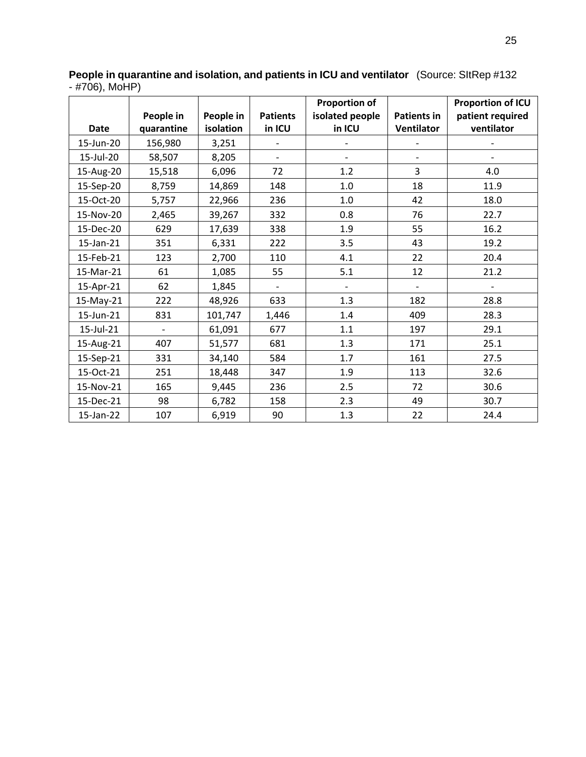|             |                          |           |                          | <b>Proportion of</b>     |                          | <b>Proportion of ICU</b> |
|-------------|--------------------------|-----------|--------------------------|--------------------------|--------------------------|--------------------------|
|             | People in                | People in | <b>Patients</b>          | isolated people          | <b>Patients in</b>       | patient required         |
| <b>Date</b> | quarantine               | isolation | in ICU                   | in ICU                   | <b>Ventilator</b>        | ventilator               |
| 15-Jun-20   | 156,980                  | 3,251     |                          |                          |                          |                          |
| 15-Jul-20   | 58,507                   | 8,205     | $\overline{\phantom{a}}$ | $\qquad \qquad -$        |                          |                          |
| 15-Aug-20   | 15,518                   | 6,096     | 72                       | 1.2                      | 3                        | 4.0                      |
| 15-Sep-20   | 8,759                    | 14,869    | 148                      | 1.0                      | 18                       | 11.9                     |
| 15-Oct-20   | 5,757                    | 22,966    | 236                      | 1.0                      | 42                       | 18.0                     |
| 15-Nov-20   | 2,465                    | 39,267    | 332                      | 0.8                      | 76                       | 22.7                     |
| 15-Dec-20   | 629                      | 17,639    | 338                      | 1.9                      | 55                       | 16.2                     |
| 15-Jan-21   | 351                      | 6,331     | 222                      | 3.5                      | 43                       | 19.2                     |
| 15-Feb-21   | 123                      | 2,700     | 110                      | 4.1                      | 22                       | 20.4                     |
| 15-Mar-21   | 61                       | 1,085     | 55                       | 5.1                      | 12                       | 21.2                     |
| 15-Apr-21   | 62                       | 1,845     | $\blacksquare$           | $\overline{\phantom{a}}$ | $\overline{\phantom{a}}$ |                          |
| 15-May-21   | 222                      | 48,926    | 633                      | 1.3                      | 182                      | 28.8                     |
| 15-Jun-21   | 831                      | 101,747   | 1,446                    | 1.4                      | 409                      | 28.3                     |
| 15-Jul-21   | $\overline{\phantom{a}}$ | 61,091    | 677                      | 1.1                      | 197                      | 29.1                     |
| 15-Aug-21   | 407                      | 51,577    | 681                      | 1.3                      | 171                      | 25.1                     |
| 15-Sep-21   | 331                      | 34,140    | 584                      | 1.7                      | 161                      | 27.5                     |
| 15-Oct-21   | 251                      | 18,448    | 347                      | 1.9                      | 113                      | 32.6                     |
| 15-Nov-21   | 165                      | 9,445     | 236                      | 2.5                      | 72                       | 30.6                     |
| 15-Dec-21   | 98                       | 6,782     | 158                      | 2.3                      | 49                       | 30.7                     |
| 15-Jan-22   | 107                      | 6,919     | 90                       | 1.3                      | 22                       | 24.4                     |

**People in quarantine and isolation, and patients in ICU and ventilator** (Source: SItRep #132 - #706), MoHP)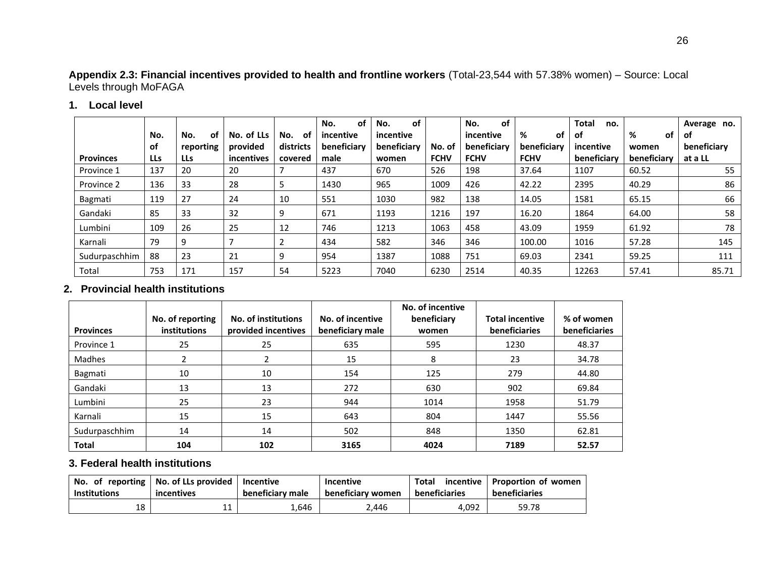## **Appendix 2.3: Financial incentives provided to health and frontline workers** (Total-23,544 with 57.38% women) – Source: Local Levels through MoFAGA

## **1. Local level**

|                  |     |            |            |           | <b>of</b><br>No. | <b>of</b><br>No. |             | of<br>No.   |             | <b>Total</b><br>no. |             | Average no. |
|------------------|-----|------------|------------|-----------|------------------|------------------|-------------|-------------|-------------|---------------------|-------------|-------------|
|                  | No. | of<br>No.  | No. of LLs | 0f<br>No. | incentive        | incentive        |             | incentive   | %<br>of     | of                  | %<br>of     | оf          |
|                  | of  | reporting  | provided   | districts | beneficiary      | beneficiary      | No. of      | beneficiary | beneficiary | incentive           | women       | beneficiary |
| <b>Provinces</b> | LLs | <b>LLs</b> | incentives | covered   | male             | women            | <b>FCHV</b> | <b>FCHV</b> | <b>FCHV</b> | beneficiary         | beneficiary | at a LL     |
| Province 1       | 137 | 20         | 20         |           | 437              | 670              | 526         | 198         | 37.64       | 1107                | 60.52       | 55          |
| Province 2       | 136 | 33         | 28         |           | 1430             | 965              | 1009        | 426         | 42.22       | 2395                | 40.29       | 86          |
| Bagmati          | 119 | 27         | 24         | 10        | 551              | 1030             | 982         | 138         | 14.05       | 1581                | 65.15       | 66          |
| Gandaki          | 85  | 33         | 32         | 9         | 671              | 1193             | 1216        | 197         | 16.20       | 1864                | 64.00       | 58          |
| Lumbini          | 109 | 26         | 25         | 12        | 746              | 1213             | 1063        | 458         | 43.09       | 1959                | 61.92       | 78          |
| Karnali          | 79  | 9          |            |           | 434              | 582              | 346         | 346         | 100.00      | 1016                | 57.28       | 145         |
| Sudurpaschhim    | 88  | 23         | 21         | 9         | 954              | 1387             | 1088        | 751         | 69.03       | 2341                | 59.25       | 111         |
| Total            | 753 | 171        | 157        | 54        | 5223             | 7040             | 6230        | 2514        | 40.35       | 12263               | 57.41       | 85.71       |

## **2. Provincial health institutions**

| <b>Provinces</b> | No. of reporting<br><b>institutions</b> | No. of institutions<br>provided incentives | No. of incentive<br>beneficiary male | No. of incentive<br>beneficiary<br>women | <b>Total incentive</b><br>beneficiaries | % of women<br><b>beneficiaries</b> |
|------------------|-----------------------------------------|--------------------------------------------|--------------------------------------|------------------------------------------|-----------------------------------------|------------------------------------|
| Province 1       | 25                                      | 25                                         | 635                                  | 595                                      | 1230                                    | 48.37                              |
| Madhes           |                                         |                                            | 15                                   | 8                                        | 23                                      | 34.78                              |
| Bagmati          | 10                                      | 10                                         | 154                                  | 125                                      | 279                                     | 44.80                              |
| Gandaki          | 13                                      | 13                                         | 272                                  | 630                                      | 902                                     | 69.84                              |
| Lumbini          | 25                                      | 23                                         | 944                                  | 1014                                     | 1958                                    | 51.79                              |
| Karnali          | 15                                      | 15                                         | 643                                  | 804                                      | 1447                                    | 55.56                              |
| Sudurpaschhim    | 14                                      | 14                                         | 502                                  | 848                                      | 1350                                    | 62.81                              |
| <b>Total</b>     | 104                                     | 102                                        | 3165                                 | 4024                                     | 7189                                    | 52.57                              |

## **3. Federal health institutions**

| <b>Institutions</b> | No. of reporting   No. of LLs provided   Incentive<br>incentives | beneficiary male | <b>Incentive</b><br>beneficiary women | <b>Total</b><br>beneficiaries | incentive   Proportion of women  <br>beneficiaries |
|---------------------|------------------------------------------------------------------|------------------|---------------------------------------|-------------------------------|----------------------------------------------------|
| 18                  | 11<br>ᆠ                                                          | ـ 646.⊾          | 2.446                                 | 4.092                         | 59.78                                              |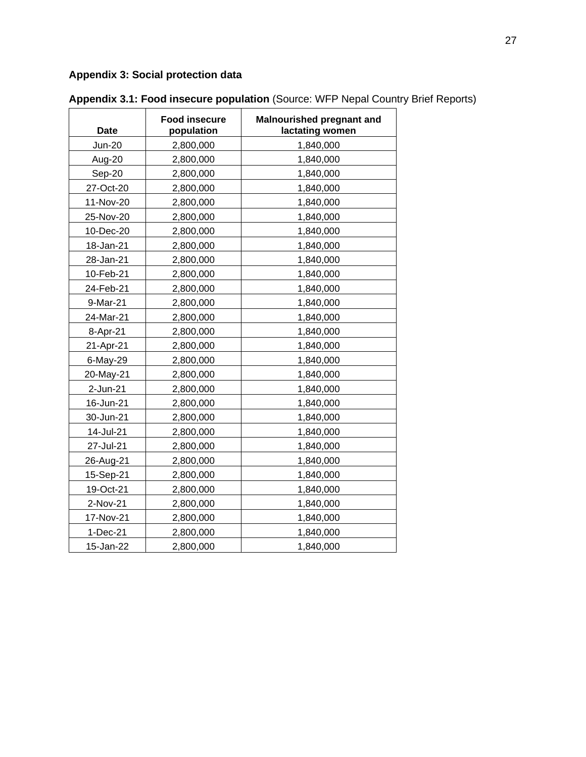## <span id="page-31-0"></span>**Appendix 3: Social protection data**

| <b>Date</b>   | <b>Food insecure</b><br>population | Malnourished pregnant and<br>lactating women |
|---------------|------------------------------------|----------------------------------------------|
| <b>Jun-20</b> | 2,800,000                          | 1,840,000                                    |
| Aug-20        | 2,800,000                          | 1,840,000                                    |
| Sep-20        | 2,800,000                          | 1,840,000                                    |
| 27-Oct-20     | 2,800,000                          | 1,840,000                                    |
| 11-Nov-20     | 2,800,000                          | 1,840,000                                    |
| 25-Nov-20     | 2,800,000                          | 1,840,000                                    |
| 10-Dec-20     | 2,800,000                          | 1,840,000                                    |
| 18-Jan-21     | 2,800,000                          | 1,840,000                                    |
| 28-Jan-21     | 2,800,000                          | 1,840,000                                    |
| 10-Feb-21     | 2,800,000                          | 1,840,000                                    |
| 24-Feb-21     | 2,800,000                          | 1,840,000                                    |
| 9-Mar-21      | 2,800,000                          | 1,840,000                                    |
| 24-Mar-21     | 2,800,000                          | 1,840,000                                    |
| 8-Apr-21      | 2,800,000                          | 1,840,000                                    |
| 21-Apr-21     | 2,800,000                          | 1,840,000                                    |
| 6-May-29      | 2,800,000                          | 1,840,000                                    |
| 20-May-21     | 2,800,000                          | 1,840,000                                    |
| 2-Jun-21      | 2,800,000                          | 1,840,000                                    |
| 16-Jun-21     | 2,800,000                          | 1,840,000                                    |
| 30-Jun-21     | 2,800,000                          | 1,840,000                                    |
| 14-Jul-21     | 2,800,000                          | 1,840,000                                    |
| 27-Jul-21     | 2,800,000                          | 1,840,000                                    |
| 26-Aug-21     | 2,800,000                          | 1,840,000                                    |
| 15-Sep-21     | 2,800,000                          | 1,840,000                                    |
| 19-Oct-21     | 2,800,000                          | 1,840,000                                    |
| 2-Nov-21      | 2,800,000                          | 1,840,000                                    |
| 17-Nov-21     | 2,800,000                          | 1,840,000                                    |
| 1-Dec-21      | 2,800,000                          | 1,840,000                                    |
| 15-Jan-22     | 2,800,000                          | 1,840,000                                    |

**Appendix 3.1: Food insecure population** (Source: WFP Nepal Country Brief Reports)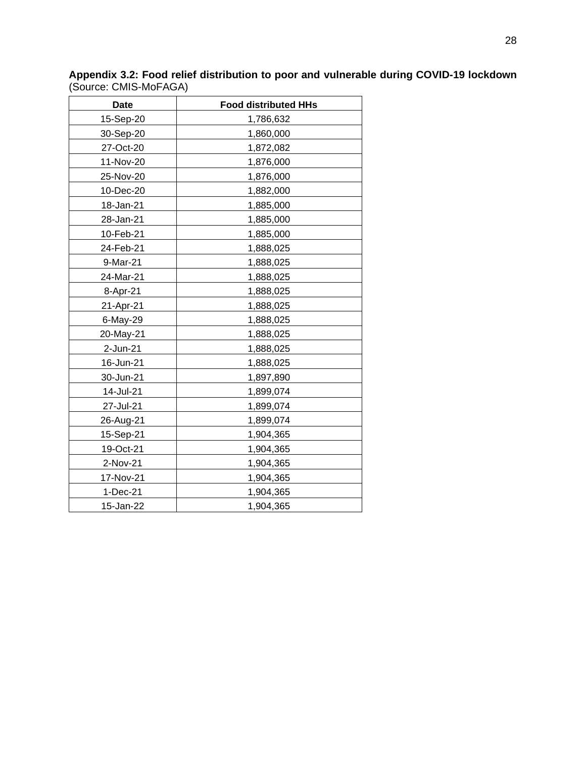| <b>Date</b> | <b>Food distributed HHs</b> |
|-------------|-----------------------------|
| 15-Sep-20   | 1,786,632                   |
| 30-Sep-20   | 1,860,000                   |
| 27-Oct-20   | 1,872,082                   |
| 11-Nov-20   | 1,876,000                   |
| 25-Nov-20   | 1,876,000                   |
| 10-Dec-20   | 1,882,000                   |
| 18-Jan-21   | 1,885,000                   |
| 28-Jan-21   | 1,885,000                   |
| 10-Feb-21   | 1,885,000                   |
| 24-Feb-21   | 1,888,025                   |
| 9-Mar-21    | 1,888,025                   |
| 24-Mar-21   | 1,888,025                   |
| 8-Apr-21    | 1,888,025                   |
| 21-Apr-21   | 1,888,025                   |
| 6-May-29    | 1,888,025                   |
| 20-May-21   | 1,888,025                   |
| 2-Jun-21    | 1,888,025                   |
| 16-Jun-21   | 1,888,025                   |
| 30-Jun-21   | 1,897,890                   |
| 14-Jul-21   | 1,899,074                   |
| 27-Jul-21   | 1,899,074                   |
| 26-Aug-21   | 1,899,074                   |
| 15-Sep-21   | 1,904,365                   |
| 19-Oct-21   | 1,904,365                   |
| 2-Nov-21    | 1,904,365                   |
| 17-Nov-21   | 1,904,365                   |
| 1-Dec-21    | 1,904,365                   |
| 15-Jan-22   | 1,904,365                   |

**Appendix 3.2: Food relief distribution to poor and vulnerable during COVID-19 lockdown** (Source: CMIS-MoFAGA)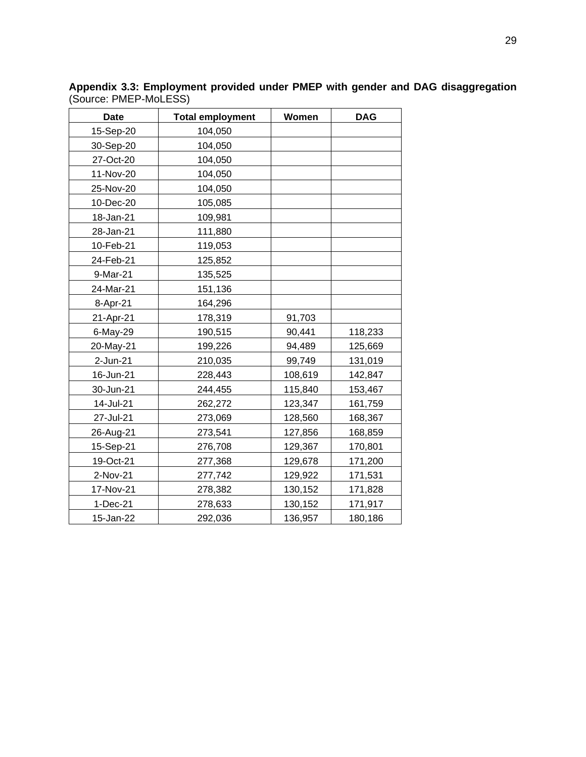| <b>Date</b> | <b>Total employment</b> | Women   | <b>DAG</b> |
|-------------|-------------------------|---------|------------|
| 15-Sep-20   | 104,050                 |         |            |
| 30-Sep-20   | 104,050                 |         |            |
| 27-Oct-20   | 104,050                 |         |            |
| 11-Nov-20   | 104,050                 |         |            |
| 25-Nov-20   | 104,050                 |         |            |
| 10-Dec-20   | 105,085                 |         |            |
| 18-Jan-21   | 109,981                 |         |            |
| 28-Jan-21   | 111,880                 |         |            |
| 10-Feb-21   | 119,053                 |         |            |
| 24-Feb-21   | 125,852                 |         |            |
| 9-Mar-21    | 135,525                 |         |            |
| 24-Mar-21   | 151,136                 |         |            |
| 8-Apr-21    | 164,296                 |         |            |
| 21-Apr-21   | 178,319                 | 91,703  |            |
| 6-May-29    | 190,515                 | 90,441  | 118,233    |
| 20-May-21   | 199,226                 | 94,489  | 125,669    |
| 2-Jun-21    | 210,035                 | 99,749  | 131,019    |
| 16-Jun-21   | 228,443                 | 108,619 | 142,847    |
| 30-Jun-21   | 244,455                 | 115,840 | 153,467    |
| 14-Jul-21   | 262,272                 | 123,347 | 161,759    |
| 27-Jul-21   | 273,069                 | 128,560 | 168,367    |
| 26-Aug-21   | 273,541                 | 127,856 | 168,859    |
| 15-Sep-21   | 276,708                 | 129,367 | 170,801    |
| 19-Oct-21   | 277,368                 | 129,678 | 171,200    |
| 2-Nov-21    | 277,742                 | 129,922 | 171,531    |
| 17-Nov-21   | 278,382                 | 130,152 | 171,828    |
| 1-Dec-21    | 278,633                 | 130,152 | 171,917    |
| 15-Jan-22   | 292,036                 | 136,957 | 180,186    |

**Appendix 3.3: Employment provided under PMEP with gender and DAG disaggregation**  (Source: PMEP-MoLESS)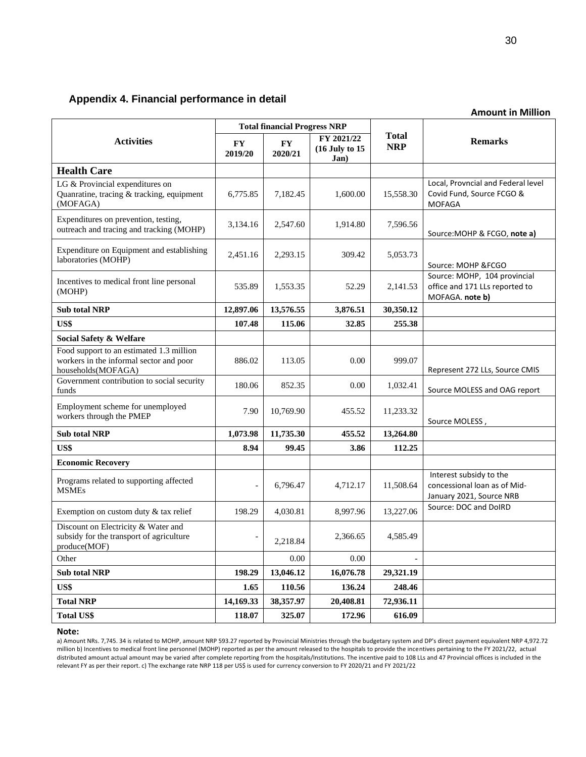#### <span id="page-34-0"></span>**Appendix 4. Financial performance in detail**

|                                                                                                           |                      |                      |                                      |                            | <b>Amount in Million</b>                                                            |  |
|-----------------------------------------------------------------------------------------------------------|----------------------|----------------------|--------------------------------------|----------------------------|-------------------------------------------------------------------------------------|--|
| <b>Total financial Progress NRP</b>                                                                       |                      |                      |                                      |                            |                                                                                     |  |
| <b>Activities</b>                                                                                         | <b>FY</b><br>2019/20 | <b>FY</b><br>2020/21 | FY 2021/22<br>(16 July to 15<br>Jan) | <b>Total</b><br><b>NRP</b> | <b>Remarks</b>                                                                      |  |
| <b>Health Care</b>                                                                                        |                      |                      |                                      |                            |                                                                                     |  |
| LG & Provincial expenditures on<br>Quanratine, tracing & tracking, equipment<br>(MOFAGA)                  | 6,775.85             | 7,182.45             | 1,600.00                             | 15,558.30                  | Local, Provncial and Federal level<br>Covid Fund, Source FCGO &<br><b>MOFAGA</b>    |  |
| Expenditures on prevention, testing,<br>outreach and tracing and tracking (MOHP)                          | 3,134.16             | 2,547.60             | 1,914.80                             | 7,596.56                   | Source: MOHP & FCGO, note a)                                                        |  |
| Expenditure on Equipment and establishing<br>laboratories (MOHP)                                          | 2,451.16             | 2,293.15             | 309.42                               | 5,053.73                   | Source: MOHP &FCGO                                                                  |  |
| Incentives to medical front line personal<br>(MOHP)                                                       | 535.89               | 1,553.35             | 52.29                                | 2,141.53                   | Source: MOHP, 104 provincial<br>office and 171 LLs reported to<br>MOFAGA. note b)   |  |
| <b>Sub total NRP</b>                                                                                      | 12,897.06            | 13,576.55            | 3,876.51                             | 30,350.12                  |                                                                                     |  |
| US\$                                                                                                      | 107.48               | 115.06               | 32.85                                | 255.38                     |                                                                                     |  |
| Social Safety & Welfare                                                                                   |                      |                      |                                      |                            |                                                                                     |  |
| Food support to an estimated 1.3 million<br>workers in the informal sector and poor<br>households(MOFAGA) | 886.02               | 113.05               | 0.00                                 | 999.07                     | Represent 272 LLs, Source CMIS                                                      |  |
| Government contribution to social security<br>funds                                                       | 180.06               | 852.35               | 0.00                                 | 1,032.41                   | Source MOLESS and OAG report                                                        |  |
| Employment scheme for unemployed<br>workers through the PMEP                                              | 7.90                 | 10,769.90            | 455.52                               | 11,233.32                  | Source MOLESS,                                                                      |  |
| <b>Sub total NRP</b>                                                                                      | 1,073.98             | 11,735.30            | 455.52                               | 13,264.80                  |                                                                                     |  |
| US\$                                                                                                      | 8.94                 | 99.45                | 3.86                                 | 112.25                     |                                                                                     |  |
| <b>Economic Recovery</b>                                                                                  |                      |                      |                                      |                            |                                                                                     |  |
| Programs related to supporting affected<br><b>MSMEs</b>                                                   | $\overline{a}$       | 6,796.47             | 4,712.17                             | 11,508.64                  | Interest subsidy to the<br>concessional loan as of Mid-<br>January 2021, Source NRB |  |
| Exemption on custom duty & tax relief                                                                     | 198.29               | 4,030.81             | 8,997.96                             | 13,227.06                  | Source: DOC and DoIRD                                                               |  |
| Discount on Electricity & Water and<br>subsidy for the transport of agriculture<br>produce(MOF)           |                      | 2,218.84             | 2,366.65                             | 4,585.49                   |                                                                                     |  |
| Other                                                                                                     |                      | 0.00                 | 0.00                                 |                            |                                                                                     |  |
| <b>Sub total NRP</b>                                                                                      | 198.29               | 13,046.12            | 16,076.78                            | 29,321.19                  |                                                                                     |  |
| US\$                                                                                                      | 1.65                 | 110.56               | 136.24                               | 248.46                     |                                                                                     |  |
| <b>Total NRP</b>                                                                                          | 14,169.33            | 38,357.97            | 20,408.81                            | 72,936.11                  |                                                                                     |  |
| <b>Total US\$</b>                                                                                         | 118.07               | 325.07               | 172.96                               | 616.09                     |                                                                                     |  |

#### **Note:**

a) Amount NRs. 7,745. 34 is related to MOHP, amount NRP 593.27 reported by Provincial Ministries through the budgetary system and DP's direct payment equivalent NRP 4,972.72 million b) Incentives to medical front line personnel (MOHP) reported as per the amount released to the hospitals to provide the incentives pertaining to the FY 2021/22, actual distributed amount actual amount may be varied after complete reporting from the hospitals/Institutions. The incentive paid to 108 LLs and 47 Provincial offices is included in the relevant FY as per their report. c) The exchange rate NRP 118 per US\$ is used for currency conversion to FY 2020/21 and FY 2021/22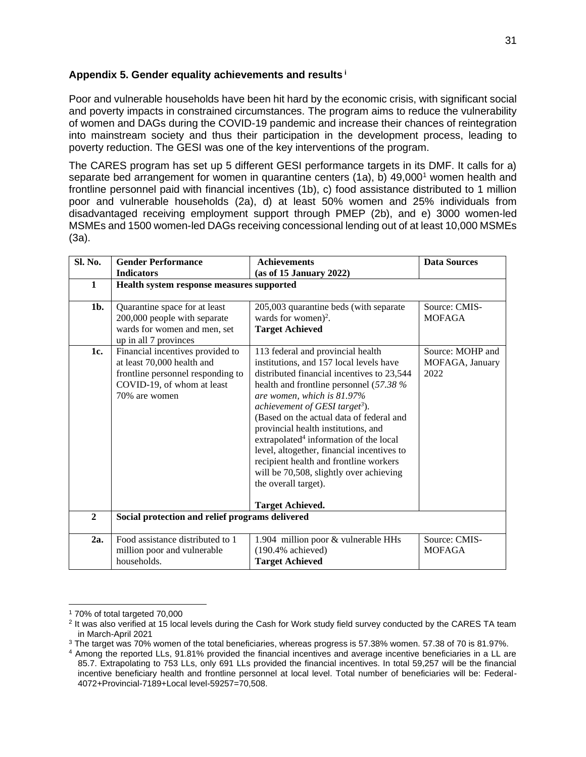#### <span id="page-35-0"></span>**Appendix 5. Gender equality achievements and results <sup>i</sup>**

Poor and vulnerable households have been hit hard by the economic crisis, with significant social and poverty impacts in constrained circumstances. The program aims to reduce the vulnerability of women and DAGs during the COVID-19 pandemic and increase their chances of reintegration into mainstream society and thus their participation in the development process, leading to poverty reduction. The GESI was one of the key interventions of the program.

The CARES program has set up 5 different GESI performance targets in its DMF. It calls for a) separate bed arrangement for women in quarantine centers (1a), b) 49,000<sup>1</sup> women health and frontline personnel paid with financial incentives (1b), c) food assistance distributed to 1 million poor and vulnerable households (2a), d) at least 50% women and 25% individuals from disadvantaged receiving employment support through PMEP (2b), and e) 3000 women-led MSMEs and 1500 women-led DAGs receiving concessional lending out of at least 10,000 MSMEs (3a).

| Sl. No.        | <b>Gender Performance</b>                       | <b>Achievements</b>                                | <b>Data Sources</b> |  |  |
|----------------|-------------------------------------------------|----------------------------------------------------|---------------------|--|--|
|                | <b>Indicators</b>                               | (as of 15 January 2022)                            |                     |  |  |
| $\mathbf{1}$   | Health system response measures supported       |                                                    |                     |  |  |
|                |                                                 |                                                    |                     |  |  |
| 1b.            | Quarantine space for at least                   | 205,003 quarantine beds (with separate             | Source: CMIS-       |  |  |
|                | 200,000 people with separate                    | wards for women) <sup>2</sup> .                    | <b>MOFAGA</b>       |  |  |
|                | wards for women and men, set                    | <b>Target Achieved</b>                             |                     |  |  |
|                | up in all 7 provinces                           |                                                    |                     |  |  |
| 1c.            | Financial incentives provided to                | 113 federal and provincial health                  | Source: MOHP and    |  |  |
|                | at least 70,000 health and                      | institutions, and 157 local levels have            | MOFAGA, January     |  |  |
|                | frontline personnel responding to               | distributed financial incentives to 23,544         | 2022                |  |  |
|                | COVID-19, of whom at least                      | health and frontline personnel $(57.38\%$          |                     |  |  |
|                | 70% are women                                   | are women, which is 81.97%                         |                     |  |  |
|                |                                                 | achievement of GESI target <sup>3</sup> ).         |                     |  |  |
|                |                                                 | (Based on the actual data of federal and           |                     |  |  |
|                |                                                 | provincial health institutions, and                |                     |  |  |
|                |                                                 | extrapolated <sup>4</sup> information of the local |                     |  |  |
|                |                                                 | level, altogether, financial incentives to         |                     |  |  |
|                |                                                 | recipient health and frontline workers             |                     |  |  |
|                |                                                 | will be 70,508, slightly over achieving            |                     |  |  |
|                |                                                 | the overall target).                               |                     |  |  |
|                |                                                 |                                                    |                     |  |  |
|                |                                                 | <b>Target Achieved.</b>                            |                     |  |  |
| $\overline{2}$ | Social protection and relief programs delivered |                                                    |                     |  |  |
|                |                                                 |                                                    |                     |  |  |
| 2a.            | Food assistance distributed to 1                | 1.904 million poor & vulnerable HHs                | Source: CMIS-       |  |  |
|                | million poor and vulnerable                     | $(190.4\%$ achieved)                               | <b>MOFAGA</b>       |  |  |
|                | households.                                     | <b>Target Achieved</b>                             |                     |  |  |

<sup>1</sup> 70% of total targeted 70,000

<sup>&</sup>lt;sup>2</sup> It was also verified at 15 local levels during the Cash for Work study field survey conducted by the CARES TA team in March-April 2021

<sup>3</sup> The target was 70% women of the total beneficiaries, whereas progress is 57.38% women. 57.38 of 70 is 81.97%.

<sup>4</sup> Among the reported LLs, 91.81% provided the financial incentives and average incentive beneficiaries in a LL are 85.7. Extrapolating to 753 LLs, only 691 LLs provided the financial incentives. In total 59,257 will be the financial incentive beneficiary health and frontline personnel at local level. Total number of beneficiaries will be: Federal-4072+Provincial-7189+Local level-59257=70,508.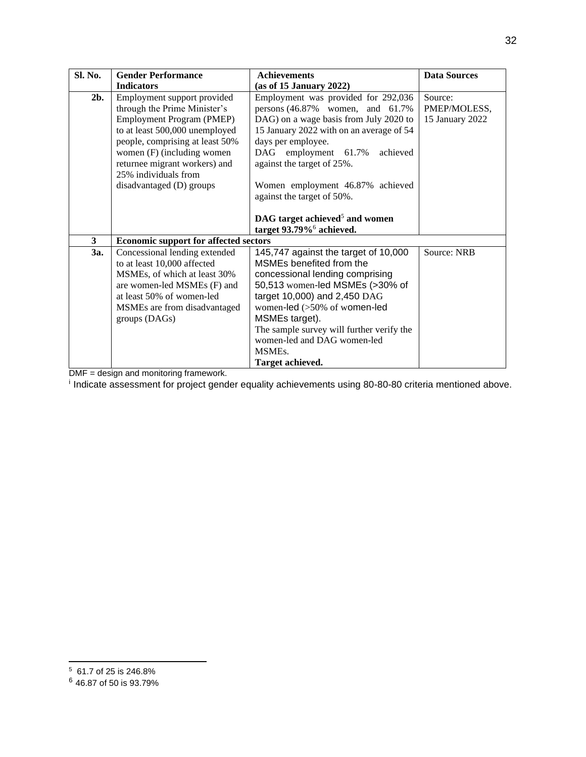| Sl. No.                 | <b>Gender Performance</b>                    | <b>Achievements</b>                        | <b>Data Sources</b> |
|-------------------------|----------------------------------------------|--------------------------------------------|---------------------|
|                         | <b>Indicators</b>                            | (as of 15 January 2022)                    |                     |
| $2b$ .                  | Employment support provided                  | Employment was provided for 292,036        | Source:             |
|                         | through the Prime Minister's                 | persons $(46.87\%$ women, and $61.7\%$     | PMEP/MOLESS,        |
|                         | Employment Program (PMEP)                    | DAG) on a wage basis from July 2020 to     | 15 January 2022     |
|                         | to at least 500,000 unemployed               | 15 January 2022 with on an average of 54   |                     |
|                         | people, comprising at least 50%              | days per employee.                         |                     |
|                         | women (F) (including women                   | achieved<br>DAG employment 61.7%           |                     |
|                         | returnee migrant workers) and                | against the target of 25%.                 |                     |
|                         | 25% individuals from                         |                                            |                     |
|                         | disadvantaged (D) groups                     | Women employment 46.87% achieved           |                     |
|                         |                                              | against the target of 50%.                 |                     |
|                         |                                              |                                            |                     |
|                         |                                              | DAG target achieved <sup>5</sup> and women |                     |
|                         |                                              | target 93.79% <sup>6</sup> achieved.       |                     |
| $\overline{\mathbf{3}}$ | <b>Economic support for affected sectors</b> |                                            |                     |
| 3a.                     | Concessional lending extended                | 145,747 against the target of 10,000       | Source: NRB         |
|                         | to at least 10,000 affected                  | MSMEs benefited from the                   |                     |
|                         | MSMEs, of which at least 30%                 | concessional lending comprising            |                     |
|                         | are women-led MSMEs (F) and                  | 50,513 women-led MSMEs (>30% of            |                     |
|                         | at least 50% of women-led                    | target 10,000) and 2,450 DAG               |                     |
|                         | MSMEs are from disadvantaged                 | women-led (>50% of women-led               |                     |
|                         | groups (DAGs)                                | MSMEs target).                             |                     |
|                         |                                              | The sample survey will further verify the  |                     |
|                         |                                              | women-led and DAG women-led                |                     |
|                         |                                              | MSME <sub>s</sub> .                        |                     |
|                         |                                              | Target achieved.                           |                     |

DMF = design and monitoring framework.<br><sup>i</sup> Indicate assessment for project gender equality achievements using 80-80-80 criteria mentioned above.

32

<sup>5</sup> 61.7 of 25 is 246.8%

<sup>6</sup> 46.87 of 50 is 93.79%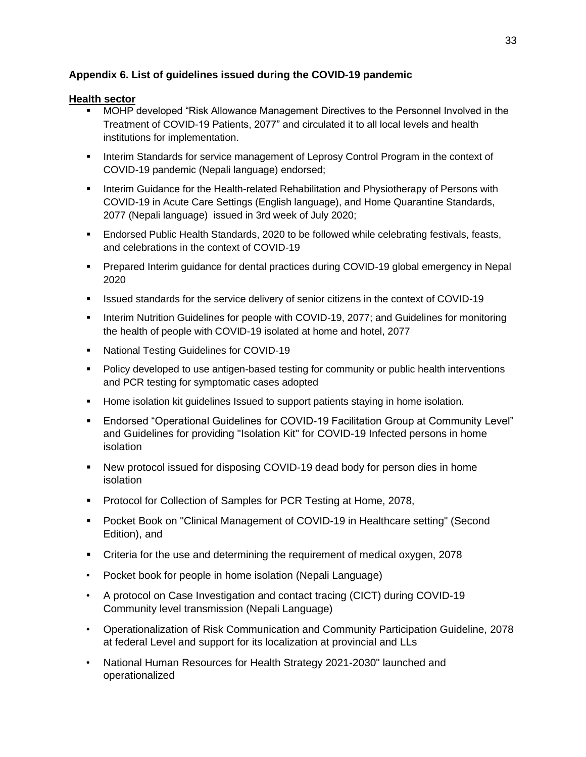## <span id="page-37-0"></span>**Appendix 6. List of guidelines issued during the COVID-19 pandemic**

#### **Health sector**

- **■** MOHP developed "Risk Allowance Management Directives to the Personnel Involved in the Treatment of COVID-19 Patients, 2077" and circulated it to all local levels and health institutions for implementation.
- **■** Interim Standards for service management of Leprosy Control Program in the context of COVID-19 pandemic (Nepali language) endorsed;
- **■** Interim Guidance for the Health-related Rehabilitation and Physiotherapy of Persons with COVID-19 in Acute Care Settings (English language), and Home Quarantine Standards, 2077 (Nepali language) issued in 3rd week of July 2020;
- Endorsed Public Health Standards, 2020 to be followed while celebrating festivals, feasts, and celebrations in the context of COVID-19
- Prepared Interim guidance for dental practices during COVID-19 global emergency in Nepal 2020
- **EXE** Issued standards for the service delivery of senior citizens in the context of COVID-19
- **Interim Nutrition Guidelines for people with COVID-19, 2077; and Guidelines for monitoring** the health of people with COVID-19 isolated at home and hotel, 2077
- National Testing Guidelines for COVID-19
- Policy developed to use antigen-based testing for community or public health interventions and PCR testing for symptomatic cases adopted
- **E** Home isolation kit guidelines Issued to support patients staying in home isolation.
- Endorsed "Operational Guidelines for COVID-19 Facilitation Group at Community Level" and Guidelines for providing "Isolation Kit" for COVID-19 Infected persons in home isolation
- New protocol issued for disposing COVID-19 dead body for person dies in home isolation
- Protocol for Collection of Samples for PCR Testing at Home, 2078,
- Pocket Book on "Clinical Management of COVID-19 in Healthcare setting" (Second Edition), and
- Criteria for the use and determining the requirement of medical oxygen, 2078
- Pocket book for people in home isolation (Nepali Language)
- A protocol on Case Investigation and contact tracing (CICT) during COVID-19 Community level transmission (Nepali Language)
- Operationalization of Risk Communication and Community Participation Guideline, 2078 at federal Level and support for its localization at provincial and LLs
- National Human Resources for Health Strategy 2021-2030" launched and operationalized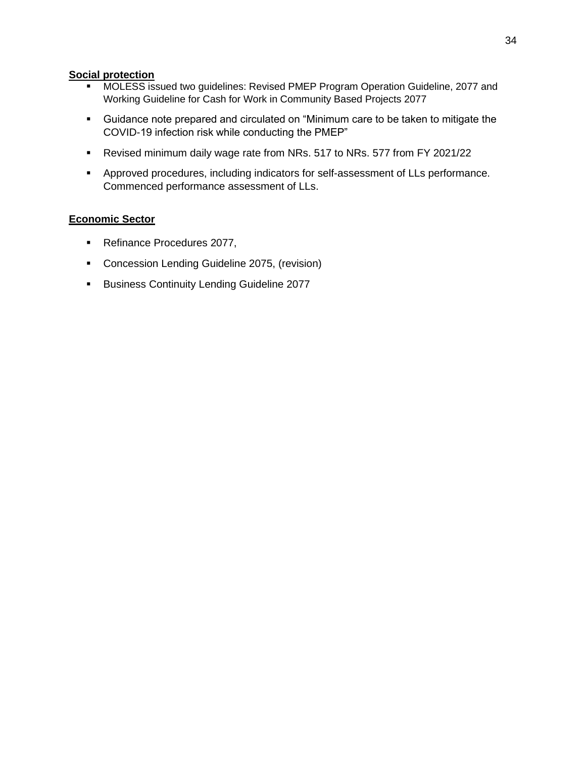#### **Social protection**

- MOLESS issued two guidelines: Revised PMEP Program Operation Guideline, 2077 and Working Guideline for Cash for Work in Community Based Projects 2077
- Guidance note prepared and circulated on "Minimum care to be taken to mitigate the COVID-19 infection risk while conducting the PMEP"
- Revised minimum daily wage rate from NRs. 517 to NRs. 577 from FY 2021/22
- Approved procedures, including indicators for self-assessment of LLs performance. Commenced performance assessment of LLs.

#### **Economic Sector**

- Refinance Procedures 2077,
- Concession Lending Guideline 2075, (revision)
- **E** Business Continuity Lending Guideline 2077